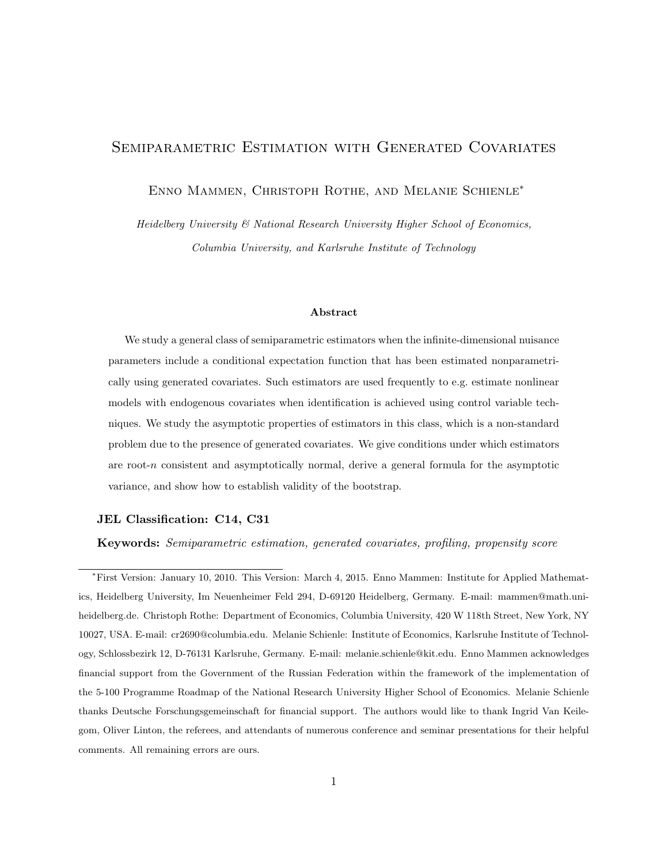# Semiparametric Estimation with Generated Covariates

Enno Mammen, Christoph Rothe, and Melanie Schienle<sup>∗</sup>

Heidelberg University & National Research University Higher School of Economics, Columbia University, and Karlsruhe Institute of Technology

### Abstract

We study a general class of semiparametric estimators when the infinite-dimensional nuisance parameters include a conditional expectation function that has been estimated nonparametrically using generated covariates. Such estimators are used frequently to e.g. estimate nonlinear models with endogenous covariates when identification is achieved using control variable techniques. We study the asymptotic properties of estimators in this class, which is a non-standard problem due to the presence of generated covariates. We give conditions under which estimators are root-n consistent and asymptotically normal, derive a general formula for the asymptotic variance, and show how to establish validity of the bootstrap.

# JEL Classification: C14, C31

Keywords: Semiparametric estimation, generated covariates, profiling, propensity score

<sup>∗</sup>First Version: January 10, 2010. This Version: March 4, 2015. Enno Mammen: Institute for Applied Mathematics, Heidelberg University, Im Neuenheimer Feld 294, D-69120 Heidelberg, Germany. E-mail: mammen@math.uniheidelberg.de. Christoph Rothe: Department of Economics, Columbia University, 420 W 118th Street, New York, NY 10027, USA. E-mail: cr2690@columbia.edu. Melanie Schienle: Institute of Economics, Karlsruhe Institute of Technology, Schlossbezirk 12, D-76131 Karlsruhe, Germany. E-mail: melanie.schienle@kit.edu. Enno Mammen acknowledges financial support from the Government of the Russian Federation within the framework of the implementation of the 5-100 Programme Roadmap of the National Research University Higher School of Economics. Melanie Schienle thanks Deutsche Forschungsgemeinschaft for financial support. The authors would like to thank Ingrid Van Keilegom, Oliver Linton, the referees, and attendants of numerous conference and seminar presentations for their helpful comments. All remaining errors are ours.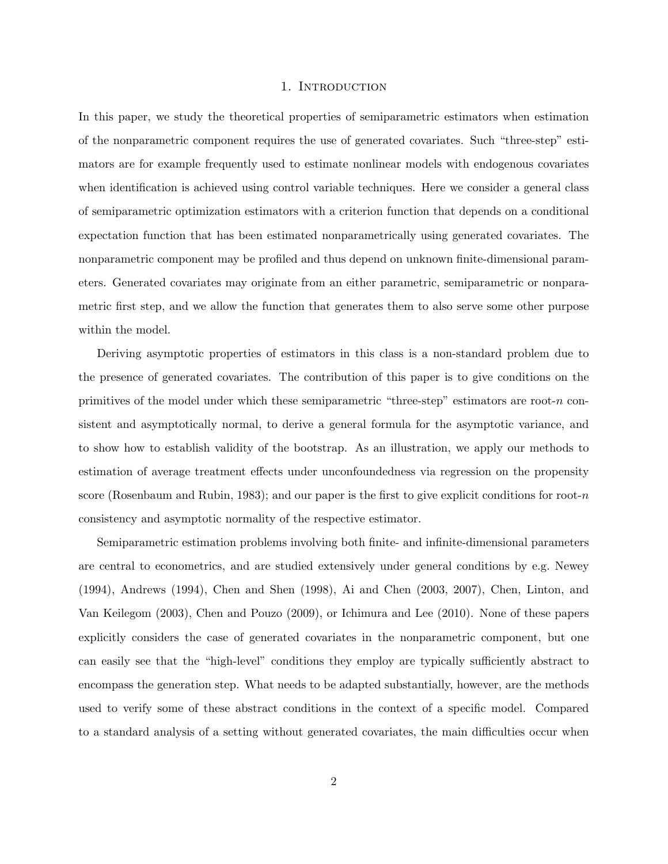#### 1. INTRODUCTION

In this paper, we study the theoretical properties of semiparametric estimators when estimation of the nonparametric component requires the use of generated covariates. Such "three-step" estimators are for example frequently used to estimate nonlinear models with endogenous covariates when identification is achieved using control variable techniques. Here we consider a general class of semiparametric optimization estimators with a criterion function that depends on a conditional expectation function that has been estimated nonparametrically using generated covariates. The nonparametric component may be profiled and thus depend on unknown finite-dimensional parameters. Generated covariates may originate from an either parametric, semiparametric or nonparametric first step, and we allow the function that generates them to also serve some other purpose within the model.

Deriving asymptotic properties of estimators in this class is a non-standard problem due to the presence of generated covariates. The contribution of this paper is to give conditions on the primitives of the model under which these semiparametric "three-step" estimators are root- $n$  consistent and asymptotically normal, to derive a general formula for the asymptotic variance, and to show how to establish validity of the bootstrap. As an illustration, we apply our methods to estimation of average treatment effects under unconfoundedness via regression on the propensity score (Rosenbaum and Rubin, 1983); and our paper is the first to give explicit conditions for root-n consistency and asymptotic normality of the respective estimator.

Semiparametric estimation problems involving both finite- and infinite-dimensional parameters are central to econometrics, and are studied extensively under general conditions by e.g. Newey (1994), Andrews (1994), Chen and Shen (1998), Ai and Chen (2003, 2007), Chen, Linton, and Van Keilegom (2003), Chen and Pouzo (2009), or Ichimura and Lee (2010). None of these papers explicitly considers the case of generated covariates in the nonparametric component, but one can easily see that the "high-level" conditions they employ are typically sufficiently abstract to encompass the generation step. What needs to be adapted substantially, however, are the methods used to verify some of these abstract conditions in the context of a specific model. Compared to a standard analysis of a setting without generated covariates, the main difficulties occur when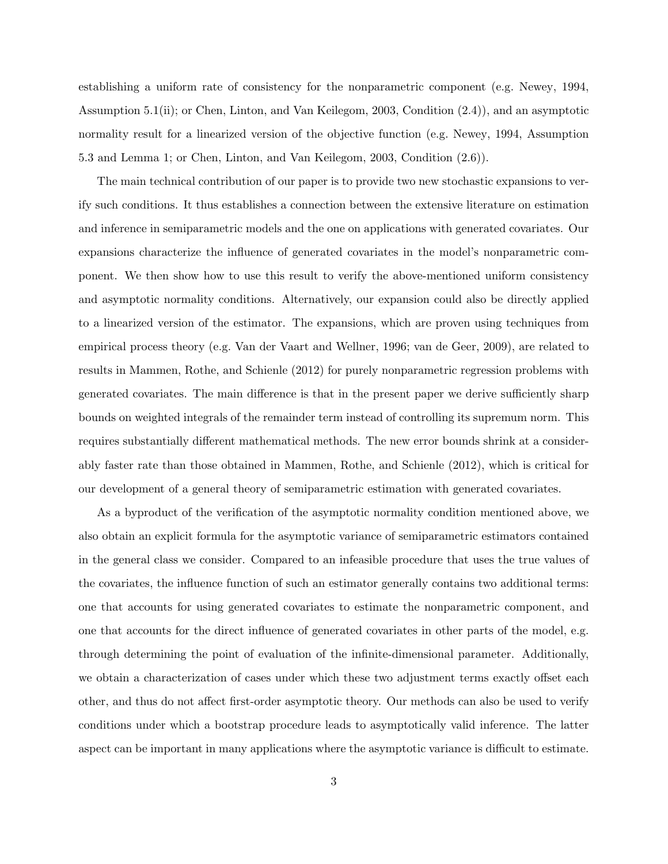establishing a uniform rate of consistency for the nonparametric component (e.g. Newey, 1994, Assumption 5.1(ii); or Chen, Linton, and Van Keilegom, 2003, Condition (2.4)), and an asymptotic normality result for a linearized version of the objective function (e.g. Newey, 1994, Assumption 5.3 and Lemma 1; or Chen, Linton, and Van Keilegom, 2003, Condition (2.6)).

The main technical contribution of our paper is to provide two new stochastic expansions to verify such conditions. It thus establishes a connection between the extensive literature on estimation and inference in semiparametric models and the one on applications with generated covariates. Our expansions characterize the influence of generated covariates in the model's nonparametric component. We then show how to use this result to verify the above-mentioned uniform consistency and asymptotic normality conditions. Alternatively, our expansion could also be directly applied to a linearized version of the estimator. The expansions, which are proven using techniques from empirical process theory (e.g. Van der Vaart and Wellner, 1996; van de Geer, 2009), are related to results in Mammen, Rothe, and Schienle (2012) for purely nonparametric regression problems with generated covariates. The main difference is that in the present paper we derive sufficiently sharp bounds on weighted integrals of the remainder term instead of controlling its supremum norm. This requires substantially different mathematical methods. The new error bounds shrink at a considerably faster rate than those obtained in Mammen, Rothe, and Schienle (2012), which is critical for our development of a general theory of semiparametric estimation with generated covariates.

As a byproduct of the verification of the asymptotic normality condition mentioned above, we also obtain an explicit formula for the asymptotic variance of semiparametric estimators contained in the general class we consider. Compared to an infeasible procedure that uses the true values of the covariates, the influence function of such an estimator generally contains two additional terms: one that accounts for using generated covariates to estimate the nonparametric component, and one that accounts for the direct influence of generated covariates in other parts of the model, e.g. through determining the point of evaluation of the infinite-dimensional parameter. Additionally, we obtain a characterization of cases under which these two adjustment terms exactly offset each other, and thus do not affect first-order asymptotic theory. Our methods can also be used to verify conditions under which a bootstrap procedure leads to asymptotically valid inference. The latter aspect can be important in many applications where the asymptotic variance is difficult to estimate.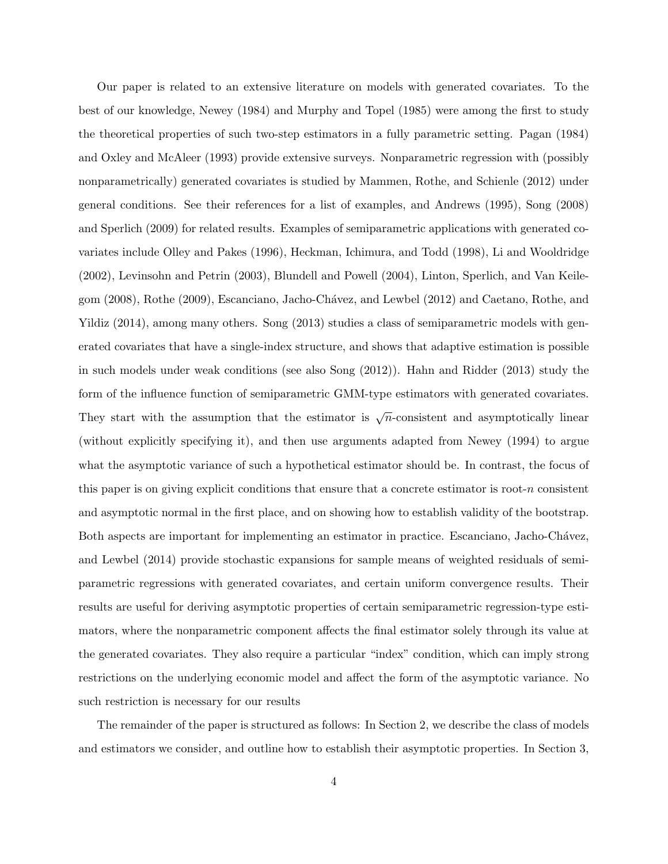Our paper is related to an extensive literature on models with generated covariates. To the best of our knowledge, Newey (1984) and Murphy and Topel (1985) were among the first to study the theoretical properties of such two-step estimators in a fully parametric setting. Pagan (1984) and Oxley and McAleer (1993) provide extensive surveys. Nonparametric regression with (possibly nonparametrically) generated covariates is studied by Mammen, Rothe, and Schienle (2012) under general conditions. See their references for a list of examples, and Andrews (1995), Song (2008) and Sperlich (2009) for related results. Examples of semiparametric applications with generated covariates include Olley and Pakes (1996), Heckman, Ichimura, and Todd (1998), Li and Wooldridge (2002), Levinsohn and Petrin (2003), Blundell and Powell (2004), Linton, Sperlich, and Van Keilegom (2008), Rothe (2009), Escanciano, Jacho-Chávez, and Lewbel (2012) and Caetano, Rothe, and Yildiz (2014), among many others. Song (2013) studies a class of semiparametric models with generated covariates that have a single-index structure, and shows that adaptive estimation is possible in such models under weak conditions (see also Song (2012)). Hahn and Ridder (2013) study the form of the influence function of semiparametric GMM-type estimators with generated covariates. They start with the assumption that the estimator is  $\sqrt{n}$ -consistent and asymptotically linear (without explicitly specifying it), and then use arguments adapted from Newey (1994) to argue what the asymptotic variance of such a hypothetical estimator should be. In contrast, the focus of this paper is on giving explicit conditions that ensure that a concrete estimator is root- $n$  consistent and asymptotic normal in the first place, and on showing how to establish validity of the bootstrap. Both aspects are important for implementing an estimator in practice. Escanciano, Jacho-Chávez, and Lewbel (2014) provide stochastic expansions for sample means of weighted residuals of semiparametric regressions with generated covariates, and certain uniform convergence results. Their results are useful for deriving asymptotic properties of certain semiparametric regression-type estimators, where the nonparametric component affects the final estimator solely through its value at the generated covariates. They also require a particular "index" condition, which can imply strong restrictions on the underlying economic model and affect the form of the asymptotic variance. No such restriction is necessary for our results

The remainder of the paper is structured as follows: In Section 2, we describe the class of models and estimators we consider, and outline how to establish their asymptotic properties. In Section 3,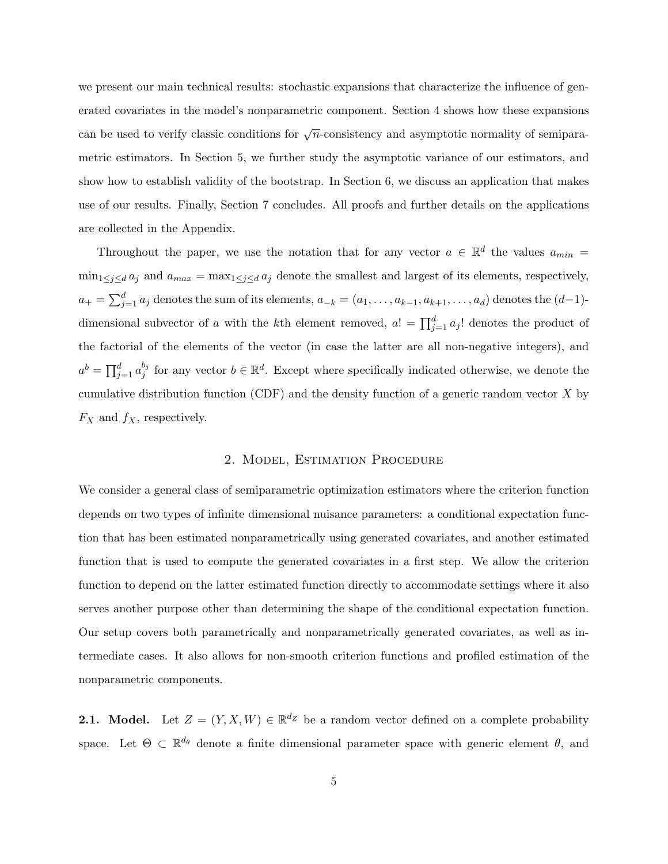we present our main technical results: stochastic expansions that characterize the influence of generated covariates in the model's nonparametric component. Section 4 shows how these expansions can be used to verify classic conditions for  $\sqrt{n}$ -consistency and asymptotic normality of semiparametric estimators. In Section 5, we further study the asymptotic variance of our estimators, and show how to establish validity of the bootstrap. In Section 6, we discuss an application that makes use of our results. Finally, Section 7 concludes. All proofs and further details on the applications are collected in the Appendix.

Throughout the paper, we use the notation that for any vector  $a \in \mathbb{R}^d$  the values  $a_{min} =$  $\min_{1 \leq j \leq d} a_j$  and  $a_{max} = \max_{1 \leq j \leq d} a_j$  denote the smallest and largest of its elements, respectively,  $a_+ = \sum_{j=1}^d a_j$  denotes the sum of its elements,  $a_{-k} = (a_1, \ldots, a_{k-1}, a_{k+1}, \ldots, a_d)$  denotes the  $(d-1)$ dimensional subvector of a with the kth element removed,  $a! = \prod_{j=1}^{d} a_j!$  denotes the product of the factorial of the elements of the vector (in case the latter are all non-negative integers), and  $a^{b} = \prod_{j=1}^{d} a_{j}^{b_{j}}$  $j_j^{b_j}$  for any vector  $b \in \mathbb{R}^d$ . Except where specifically indicated otherwise, we denote the cumulative distribution function (CDF) and the density function of a generic random vector  $X$  by  $F_X$  and  $f_X$ , respectively.

# 2. Model, Estimation Procedure

We consider a general class of semiparametric optimization estimators where the criterion function depends on two types of infinite dimensional nuisance parameters: a conditional expectation function that has been estimated nonparametrically using generated covariates, and another estimated function that is used to compute the generated covariates in a first step. We allow the criterion function to depend on the latter estimated function directly to accommodate settings where it also serves another purpose other than determining the shape of the conditional expectation function. Our setup covers both parametrically and nonparametrically generated covariates, as well as intermediate cases. It also allows for non-smooth criterion functions and profiled estimation of the nonparametric components.

**2.1.** Model. Let  $Z = (Y, X, W) \in \mathbb{R}^{d_Z}$  be a random vector defined on a complete probability space. Let  $\Theta \subset \mathbb{R}^{d_{\theta}}$  denote a finite dimensional parameter space with generic element  $\theta$ , and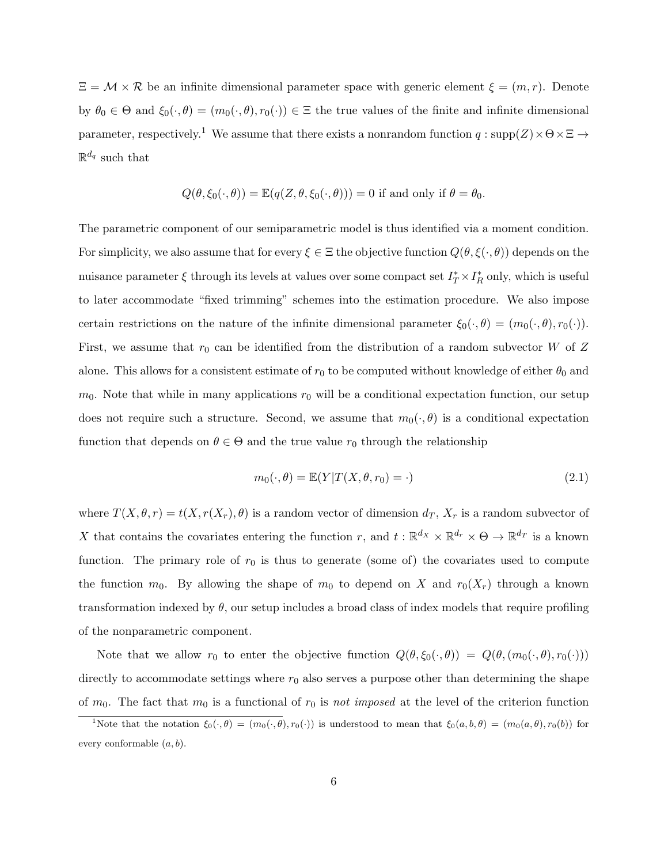$\Xi = \mathcal{M} \times \mathcal{R}$  be an infinite dimensional parameter space with generic element  $\xi = (m, r)$ . Denote by  $\theta_0 \in \Theta$  and  $\xi_0(\cdot, \theta) = (m_0(\cdot, \theta), r_0(\cdot)) \in \Xi$  the true values of the finite and infinite dimensional parameter, respectively.<sup>1</sup> We assume that there exists a nonrandom function  $q : supp(Z) \times \Theta \times \Xi \rightarrow$  $\mathbb{R}^{d_q}$  such that

$$
Q(\theta, \xi_0(\cdot, \theta)) = \mathbb{E}(q(Z, \theta, \xi_0(\cdot, \theta))) = 0
$$
 if and only if  $\theta = \theta_0$ .

The parametric component of our semiparametric model is thus identified via a moment condition. For simplicity, we also assume that for every  $\xi \in \Xi$  the objective function  $Q(\theta, \xi(\cdot, \theta))$  depends on the nuisance parameter  $\xi$  through its levels at values over some compact set  $I_T^* \times I_R^*$  only, which is useful to later accommodate "fixed trimming" schemes into the estimation procedure. We also impose certain restrictions on the nature of the infinite dimensional parameter  $\xi_0(\cdot, \theta) = (m_0(\cdot, \theta), r_0(\cdot)).$ First, we assume that  $r_0$  can be identified from the distribution of a random subvector W of Z alone. This allows for a consistent estimate of  $r_0$  to be computed without knowledge of either  $\theta_0$  and  $m_0$ . Note that while in many applications  $r_0$  will be a conditional expectation function, our setup does not require such a structure. Second, we assume that  $m_0(\cdot, \theta)$  is a conditional expectation function that depends on  $\theta \in \Theta$  and the true value  $r_0$  through the relationship

$$
m_0(\cdot,\theta) = \mathbb{E}(Y|T(X,\theta,r_0) = \cdot)
$$
\n(2.1)

where  $T(X, \theta, r) = t(X, r(X_r), \theta)$  is a random vector of dimension  $d_T$ ,  $X_r$  is a random subvector of X that contains the covariates entering the function r, and  $t : \mathbb{R}^{d_X} \times \mathbb{R}^{d_r} \times \Theta \to \mathbb{R}^{d_T}$  is a known function. The primary role of  $r_0$  is thus to generate (some of) the covariates used to compute the function  $m_0$ . By allowing the shape of  $m_0$  to depend on X and  $r_0(X_r)$  through a known transformation indexed by  $\theta$ , our setup includes a broad class of index models that require profiling of the nonparametric component.

Note that we allow  $r_0$  to enter the objective function  $Q(\theta, \xi_0(\cdot, \theta)) = Q(\theta, (m_0(\cdot, \theta), r_0(\cdot)))$ directly to accommodate settings where  $r_0$  also serves a purpose other than determining the shape of  $m_0$ . The fact that  $m_0$  is a functional of  $r_0$  is not imposed at the level of the criterion function

<sup>&</sup>lt;sup>1</sup>Note that the notation  $\xi_0(\cdot, \theta) = (m_0(\cdot, \theta), r_0(\cdot))$  is understood to mean that  $\xi_0(a, b, \theta) = (m_0(a, \theta), r_0(b))$  for every conformable  $(a, b)$ .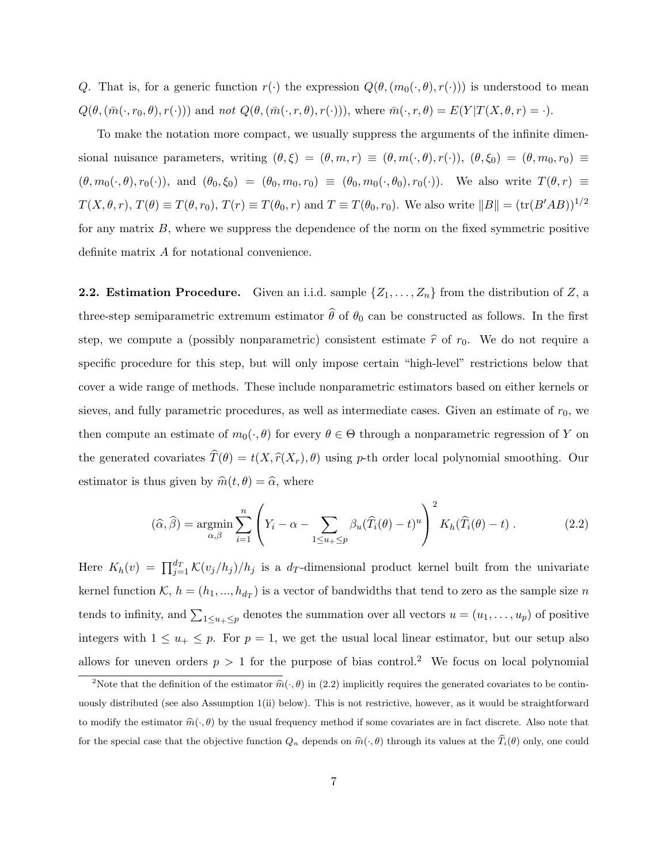Q. That is, for a generic function  $r(\cdot)$  the expression  $Q(\theta,(m_0(\cdot,\theta),r(\cdot)))$  is understood to mean  $Q(\theta, (\bar{m}(\cdot, r_0, \theta), r(\cdot)))$  and not  $Q(\theta, (\bar{m}(\cdot, r, \theta), r(\cdot)))$ , where  $\bar{m}(\cdot, r, \theta) = E(Y|T(X, \theta, r) = \cdot)$ .

To make the notation more compact, we usually suppress the arguments of the infinite dimensional nuisance parameters, writing  $(\theta, \xi) = (\theta, m, r) \equiv (\theta, m(\cdot, \theta), r(\cdot)), (\theta, \xi_0) = (\theta, m_0, r_0) \equiv$  $(\theta, m_0(\cdot, \theta), r_0(\cdot))$ , and  $(\theta_0, \xi_0) = (\theta_0, m_0, r_0) \equiv (\theta_0, m_0(\cdot, \theta_0), r_0(\cdot))$ . We also write  $T(\theta, r) \equiv$  $T(X, \theta, r), T(\theta) \equiv T(\theta, r_0), T(r) \equiv T(\theta_0, r)$  and  $T \equiv T(\theta_0, r_0)$ . We also write  $||B|| = (\text{tr}(B'AB))^{1/2}$ for any matrix  $B$ , where we suppress the dependence of the norm on the fixed symmetric positive definite matrix A for notational convenience.

**2.2. Estimation Procedure.** Given an i.i.d. sample  $\{Z_1, \ldots, Z_n\}$  from the distribution of Z, a three-step semiparametric extremum estimator  $\hat{\theta}$  of  $\theta_0$  can be constructed as follows. In the first step, we compute a (possibly nonparametric) consistent estimate  $\hat{r}$  of  $r_0$ . We do not require a specific procedure for this step, but will only impose certain "high-level" restrictions below that cover a wide range of methods. These include nonparametric estimators based on either kernels or sieves, and fully parametric procedures, as well as intermediate cases. Given an estimate of  $r_0$ , we then compute an estimate of  $m_0(\cdot, \theta)$  for every  $\theta \in \Theta$  through a nonparametric regression of Y on the generated covariates  $\widehat{T}(\theta) = t(X, \widehat{r}(X_r), \theta)$  using p-th order local polynomial smoothing. Our estimator is thus given by  $\widehat{m}(t, \theta) = \widehat{\alpha}$ , where

$$
(\widehat{\alpha}, \widehat{\beta}) = \underset{\alpha, \beta}{\text{argmin}} \sum_{i=1}^{n} \left( Y_i - \alpha - \sum_{1 \le u_+ \le p} \beta_u (\widehat{T}_i(\theta) - t)^u \right)^2 K_h(\widehat{T}_i(\theta) - t) . \tag{2.2}
$$

Here  $K_h(v) = \prod_{j=1}^{d_T} \mathcal{K}(v_j/h_j)/h_j$  is a  $d_T$ -dimensional product kernel built from the univariate kernel function  $\mathcal{K}, h = (h_1, ..., h_{d_T})$  is a vector of bandwidths that tend to zero as the sample size n tends to infinity, and  $\sum_{1 \le u_+ \le p}$  denotes the summation over all vectors  $u = (u_1, \ldots, u_p)$  of positive integers with  $1 \le u_+ \le p$ . For  $p = 1$ , we get the usual local linear estimator, but our setup also allows for uneven orders  $p > 1$  for the purpose of bias control.<sup>2</sup> We focus on local polynomial

<sup>&</sup>lt;sup>2</sup>Note that the definition of the estimator  $\hat{m}(\cdot, \theta)$  in (2.2) implicitly requires the generated covariates to be continuously distributed (see also Assumption 1(ii) below). This is not restrictive, however, as it would be straightforward to modify the estimator  $\hat{m}(\cdot, \theta)$  by the usual frequency method if some covariates are in fact discrete. Also note that for the special case that the objective function  $Q_n$  depends on  $\hat{m}(\cdot, \theta)$  through its values at the  $\hat{T}_i(\theta)$  only, one could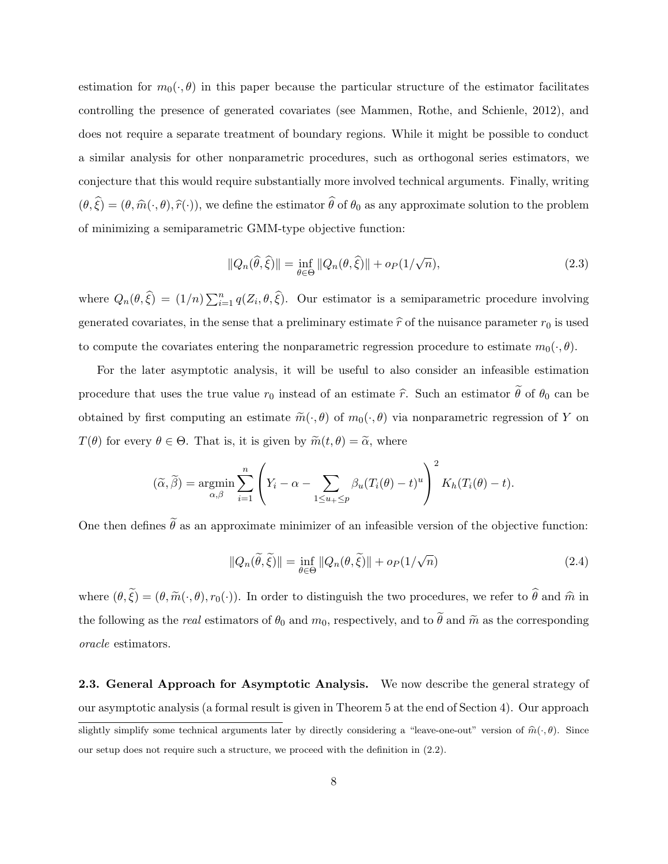estimation for  $m_0(\cdot, \theta)$  in this paper because the particular structure of the estimator facilitates controlling the presence of generated covariates (see Mammen, Rothe, and Schienle, 2012), and does not require a separate treatment of boundary regions. While it might be possible to conduct a similar analysis for other nonparametric procedures, such as orthogonal series estimators, we conjecture that this would require substantially more involved technical arguments. Finally, writing  $(\theta, \hat{\xi}) = (\theta, \hat{m}(\cdot, \theta), \hat{r}(\cdot))$ , we define the estimator  $\hat{\theta}$  of  $\theta_0$  as any approximate solution to the problem of minimizing a semiparametric GMM-type objective function:

$$
||Q_n(\widehat{\theta}, \widehat{\xi})|| = \inf_{\theta \in \Theta} ||Q_n(\theta, \widehat{\xi})|| + o_P(1/\sqrt{n}), \qquad (2.3)
$$

where  $Q_n(\theta, \hat{\xi}) = (1/n) \sum_{i=1}^n q(Z_i, \theta, \hat{\xi})$ . Our estimator is a semiparametric procedure involving generated covariates, in the sense that a preliminary estimate  $\hat{r}$  of the nuisance parameter  $r_0$  is used to compute the covariates entering the nonparametric regression procedure to estimate  $m_0(\cdot, \theta)$ .

For the later asymptotic analysis, it will be useful to also consider an infeasible estimation procedure that uses the true value  $r_0$  instead of an estimate  $\hat{r}$ . Such an estimator  $\hat{\theta}$  of  $\theta_0$  can be obtained by first computing an estimate  $\tilde{m}(\cdot,\theta)$  of  $m_0(\cdot,\theta)$  via nonparametric regression of Y on  $T(\theta)$  for every  $\theta \in \Theta$ . That is, it is given by  $\widetilde{m}(t, \theta) = \widetilde{\alpha}$ , where

$$
(\widetilde{\alpha}, \widetilde{\beta}) = \underset{\alpha, \beta}{\text{argmin}} \sum_{i=1}^{n} \left( Y_i - \alpha - \sum_{1 \le u_1 \le p} \beta_u (T_i(\theta) - t)^u \right)^2 K_h(T_i(\theta) - t).
$$

One then defines  $\tilde{\theta}$  as an approximate minimizer of an infeasible version of the objective function:

$$
||Q_n(\tilde{\theta}, \tilde{\xi})|| = \inf_{\theta \in \Theta} ||Q_n(\theta, \tilde{\xi})|| + o_P(1/\sqrt{n})
$$
\n(2.4)

where  $(\theta, \tilde{\xi}) = (\theta, \tilde{m}(\cdot, \theta), r_0(\cdot))$ . In order to distinguish the two procedures, we refer to  $\hat{\theta}$  and  $\hat{m}$  in the following as the real estimators of  $\theta_0$  and  $m_0$ , respectively, and to  $\tilde{\theta}$  and  $\tilde{m}$  as the corresponding oracle estimators.

2.3. General Approach for Asymptotic Analysis. We now describe the general strategy of our asymptotic analysis (a formal result is given in Theorem 5 at the end of Section 4). Our approach slightly simplify some technical arguments later by directly considering a "leave-one-out" version of  $\hat{m}(\cdot, \theta)$ . Since our setup does not require such a structure, we proceed with the definition in (2.2).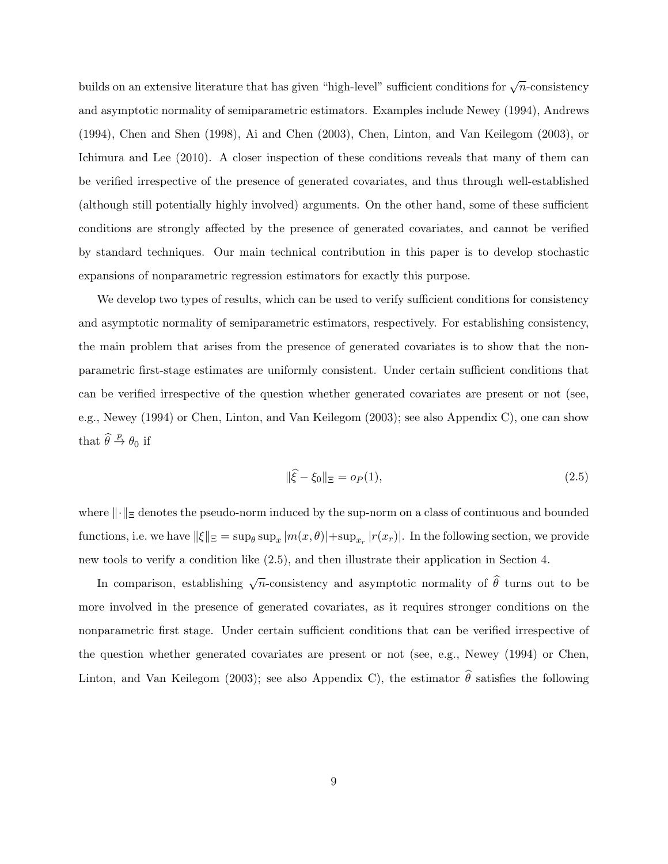builds on an extensive literature that has given "high-level" sufficient conditions for  $\sqrt{n}$ -consistency and asymptotic normality of semiparametric estimators. Examples include Newey (1994), Andrews (1994), Chen and Shen (1998), Ai and Chen (2003), Chen, Linton, and Van Keilegom (2003), or Ichimura and Lee (2010). A closer inspection of these conditions reveals that many of them can be verified irrespective of the presence of generated covariates, and thus through well-established (although still potentially highly involved) arguments. On the other hand, some of these sufficient conditions are strongly affected by the presence of generated covariates, and cannot be verified by standard techniques. Our main technical contribution in this paper is to develop stochastic expansions of nonparametric regression estimators for exactly this purpose.

We develop two types of results, which can be used to verify sufficient conditions for consistency and asymptotic normality of semiparametric estimators, respectively. For establishing consistency, the main problem that arises from the presence of generated covariates is to show that the nonparametric first-stage estimates are uniformly consistent. Under certain sufficient conditions that can be verified irrespective of the question whether generated covariates are present or not (see, e.g., Newey (1994) or Chen, Linton, and Van Keilegom (2003); see also Appendix C), one can show that  $\widehat{\theta} \stackrel{p}{\rightarrow} \theta_0$  if

$$
\|\hat{\xi} - \xi_0\|_{\Xi} = o_P(1),\tag{2.5}
$$

where  $\lVert \cdot \rVert_{\text{E}}$  denotes the pseudo-norm induced by the sup-norm on a class of continuous and bounded functions, i.e. we have  $\|\xi\|_{\Xi}=\sup_{\theta}\sup_x|m(x,\theta)|+\sup_{x_r}|r(x_r)|$ . In the following section, we provide new tools to verify a condition like (2.5), and then illustrate their application in Section 4.

In comparison, establishing  $\sqrt{n}$ -consistency and asymptotic normality of  $\hat{\theta}$  turns out to be more involved in the presence of generated covariates, as it requires stronger conditions on the nonparametric first stage. Under certain sufficient conditions that can be verified irrespective of the question whether generated covariates are present or not (see, e.g., Newey (1994) or Chen, Linton, and Van Keilegom (2003); see also Appendix C), the estimator  $\hat{\theta}$  satisfies the following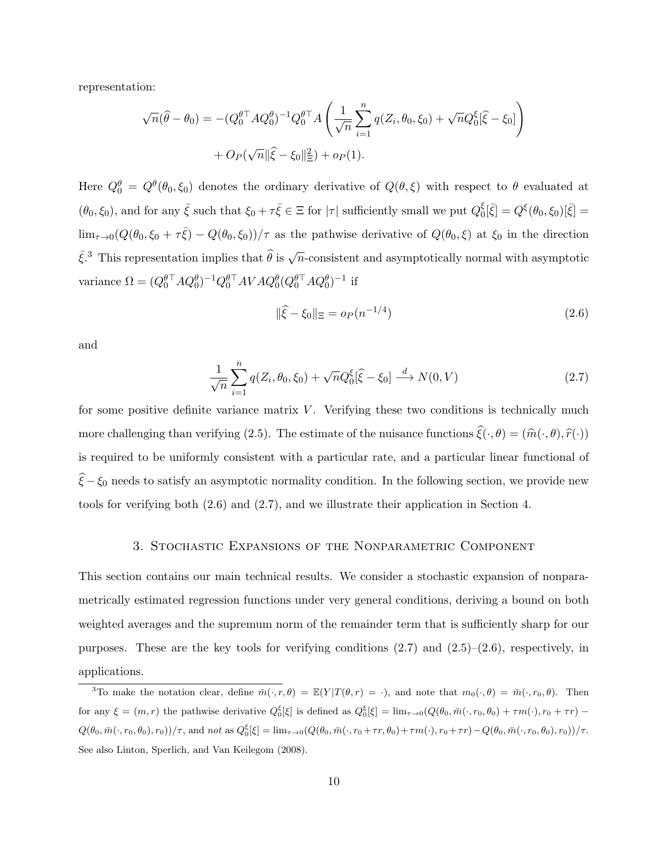representation:

$$
\sqrt{n}(\hat{\theta} - \theta_0) = -(Q_0^{\theta \top} A Q_0^{\theta})^{-1} Q_0^{\theta \top} A \left( \frac{1}{\sqrt{n}} \sum_{i=1}^n q(Z_i, \theta_0, \xi_0) + \sqrt{n} Q_0^{\xi} [\hat{\xi} - \xi_0] \right) + O_P(\sqrt{n} || \hat{\xi} - \xi_0 ||^2) + o_P(1).
$$

Here  $Q_0^{\theta} = Q^{\theta}(\theta_0, \xi_0)$  denotes the ordinary derivative of  $Q(\theta, \xi)$  with respect to  $\theta$  evaluated at  $(\theta_0, \xi_0)$ , and for any  $\bar{\xi}$  such that  $\xi_0 + \tau \bar{\xi} \in \Xi$  for  $|\tau|$  sufficiently small we put  $Q_0^{\xi}$  $S_0^{\xi}[\bar{\xi}] = Q^{\xi}(\theta_0, \xi_0)[\bar{\xi}] =$  $\lim_{\tau\to 0}(Q(\theta_0,\xi_0+\tau\bar{\xi})-Q(\theta_0,\xi_0))/\tau$  as the pathwise derivative of  $Q(\theta_0,\xi)$  at  $\xi_0$  in the direction  $\bar{\xi}$ <sup>3</sup>. This representation implies that  $\widehat{\theta}$  is  $\sqrt{n}$ -consistent and asymptotically normal with asymptotic variance  $\Omega = (Q_0^{\theta \top} A Q_0^{\theta})^{-1} Q_0^{\theta \top} A V A Q_0^{\theta} (Q_0^{\theta \top} A Q_0^{\theta})^{-1}$  if

$$
\|\hat{\xi} - \xi_0\|_{\Xi} = o_P(n^{-1/4})\tag{2.6}
$$

and

$$
\frac{1}{\sqrt{n}} \sum_{i=1}^{n} q(Z_i, \theta_0, \xi_0) + \sqrt{n} Q_0^{\xi} [\hat{\xi} - \xi_0] \stackrel{d}{\longrightarrow} N(0, V) \tag{2.7}
$$

for some positive definite variance matrix  $V$ . Verifying these two conditions is technically much more challenging than verifying (2.5). The estimate of the nuisance functions  $\hat{\xi}(\cdot, \theta) = (\hat{m}(\cdot, \theta), \hat{r}(\cdot))$ is required to be uniformly consistent with a particular rate, and a particular linear functional of  $\hat{\xi} - \xi_0$  needs to satisfy an asymptotic normality condition. In the following section, we provide new tools for verifying both (2.6) and (2.7), and we illustrate their application in Section 4.

# 3. Stochastic Expansions of the Nonparametric Component

This section contains our main technical results. We consider a stochastic expansion of nonparametrically estimated regression functions under very general conditions, deriving a bound on both weighted averages and the supremum norm of the remainder term that is sufficiently sharp for our purposes. These are the key tools for verifying conditions  $(2.7)$  and  $(2.5)-(2.6)$ , respectively, in applications.

<sup>&</sup>lt;sup>3</sup>To make the notation clear, define  $\overline{m}(\cdot, r, \theta) = \mathbb{E}(Y | T(\theta, r) = \cdot)$ , and note that  $m_0(\cdot, \theta) = \overline{m}(\cdot, r_0, \theta)$ . Then for any  $\xi = (m, r)$  the pathwise derivative  $Q_0^{\xi}[\xi]$  is defined as  $Q_0^{\xi}[\xi] = \lim_{\tau \to 0} (Q(\theta_0, \bar{m}(\cdot, r_0, \theta_0) + \tau m(\cdot), r_0 + \tau r) Q(\theta_0, \bar{m}(\cdot, r_0, \theta_0), r_0) / \tau$ , and not as  $Q_0^{\xi}[\xi] = \lim_{\tau \to 0} (Q(\theta_0, \bar{m}(\cdot, r_0 + \tau r, \theta_0) + \tau m(\cdot), r_0 + \tau r) - Q(\theta_0, \bar{m}(\cdot, r_0, \theta_0), r_0)) / \tau$ . See also Linton, Sperlich, and Van Keilegom (2008).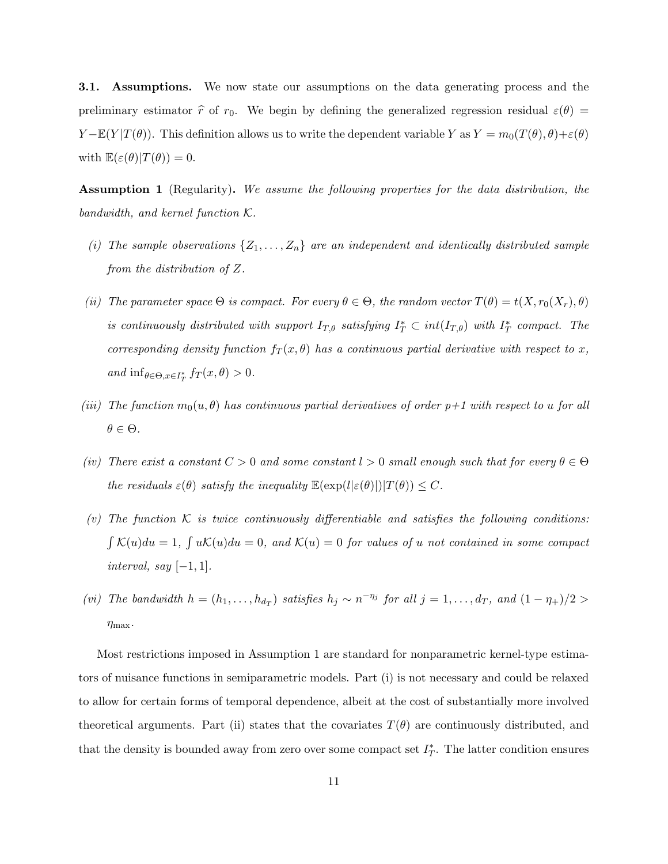3.1. Assumptions. We now state our assumptions on the data generating process and the preliminary estimator  $\hat{r}$  of  $r_0$ . We begin by defining the generalized regression residual  $\varepsilon(\theta)$  =  $Y - \mathbb{E}(Y|T(\theta))$ . This definition allows us to write the dependent variable Y as  $Y = m_0(T(\theta), \theta) + \varepsilon(\theta)$ with  $\mathbb{E}(\varepsilon(\theta)|T(\theta))=0.$ 

Assumption 1 (Regularity). We assume the following properties for the data distribution, the bandwidth, and kernel function K.

- (i) The sample observations  $\{Z_1, \ldots, Z_n\}$  are an independent and identically distributed sample from the distribution of Z.
- (ii) The parameter space  $\Theta$  is compact. For every  $\theta \in \Theta$ , the random vector  $T(\theta) = t(X, r_0(X_r), \theta)$ is continuously distributed with support  $I_{T,\theta}$  satisfying  $I_T^* \subset int(I_{T,\theta})$  with  $I_T^*$  compact. The corresponding density function  $f_T(x, \theta)$  has a continuous partial derivative with respect to x, and  $\inf_{\theta \in \Theta, x \in I_T^*} f_T(x, \theta) > 0.$
- (iii) The function  $m_0(u, \theta)$  has continuous partial derivatives of order  $p+1$  with respect to u for all  $\theta \in \Theta$ .
- (iv) There exist a constant  $C > 0$  and some constant  $l > 0$  small enough such that for every  $\theta \in \Theta$ the residuals  $\varepsilon(\theta)$  satisfy the inequality  $\mathbb{E}(\exp(l|\varepsilon(\theta))|T(\theta)) \leq C$ .
- (v) The function K is twice continuously differentiable and satisfies the following conditions:  $\int K(u)du = 1$ ,  $\int uK(u)du = 0$ , and  $K(u) = 0$  for values of u not contained in some compact interval, say  $[-1, 1]$ .
- (vi) The bandwidth  $h = (h_1, \ldots, h_{d_T})$  satisfies  $h_j \sim n^{-\eta_j}$  for all  $j = 1, \ldots, d_T$ , and  $(1 \eta_+)/2 >$  $\eta_{\text{max}}$ .

Most restrictions imposed in Assumption 1 are standard for nonparametric kernel-type estimators of nuisance functions in semiparametric models. Part (i) is not necessary and could be relaxed to allow for certain forms of temporal dependence, albeit at the cost of substantially more involved theoretical arguments. Part (ii) states that the covariates  $T(\theta)$  are continuously distributed, and that the density is bounded away from zero over some compact set  $I_T^*$ . The latter condition ensures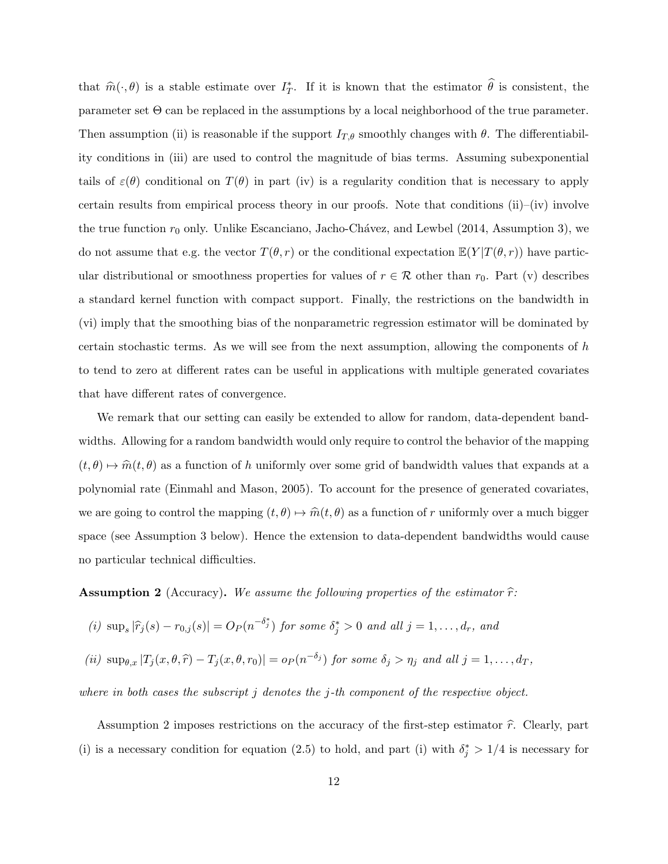that  $\hat{m}(\cdot, \theta)$  is a stable estimate over  $I_T^*$ . If it is known that the estimator  $\hat{\theta}$  is consistent, the parameter set Θ can be replaced in the assumptions by a local neighborhood of the true parameter. Then assumption (ii) is reasonable if the support  $I_{T,\theta}$  smoothly changes with  $\theta$ . The differentiability conditions in (iii) are used to control the magnitude of bias terms. Assuming subexponential tails of  $\varepsilon(\theta)$  conditional on  $T(\theta)$  in part (iv) is a regularity condition that is necessary to apply certain results from empirical process theory in our proofs. Note that conditions (ii)–(iv) involve the true function  $r_0$  only. Unlike Escanciano, Jacho-Chávez, and Lewbel (2014, Assumption 3), we do not assume that e.g. the vector  $T(\theta, r)$  or the conditional expectation  $\mathbb{E}(Y | T(\theta, r))$  have particular distributional or smoothness properties for values of  $r \in \mathcal{R}$  other than  $r_0$ . Part (v) describes a standard kernel function with compact support. Finally, the restrictions on the bandwidth in (vi) imply that the smoothing bias of the nonparametric regression estimator will be dominated by certain stochastic terms. As we will see from the next assumption, allowing the components of  $h$ to tend to zero at different rates can be useful in applications with multiple generated covariates that have different rates of convergence.

We remark that our setting can easily be extended to allow for random, data-dependent bandwidths. Allowing for a random bandwidth would only require to control the behavior of the mapping  $(t, \theta) \mapsto \hat{m}(t, \theta)$  as a function of h uniformly over some grid of bandwidth values that expands at a polynomial rate (Einmahl and Mason, 2005). To account for the presence of generated covariates, we are going to control the mapping  $(t, \theta) \mapsto \hat{m}(t, \theta)$  as a function of r uniformly over a much bigger space (see Assumption 3 below). Hence the extension to data-dependent bandwidths would cause no particular technical difficulties.

**Assumption 2** (Accuracy). We assume the following properties of the estimator  $\hat{r}$ :

(i) sup<sub>s</sub> 
$$
|\hat{r}_j(s) - r_{0,j}(s)| = O_P(n^{-\delta_j^*})
$$
 for some  $\delta_j^* > 0$  and all  $j = 1, ..., d_r$ , and

$$
(ii) \ \sup_{\theta,x} |T_j(x,\theta,\widehat{r})-T_j(x,\theta,r_0)|=o_P(n^{-\delta_j}) \ \text{for some } \delta_j>\eta_j \ \text{and all } j=1,\ldots,d_T,
$$

where in both cases the subscript  $j$  denotes the  $j$ -th component of the respective object.

Assumption 2 imposes restrictions on the accuracy of the first-step estimator  $\hat{r}$ . Clearly, part (i) is a necessary condition for equation (2.5) to hold, and part (i) with  $\delta_j^* > 1/4$  is necessary for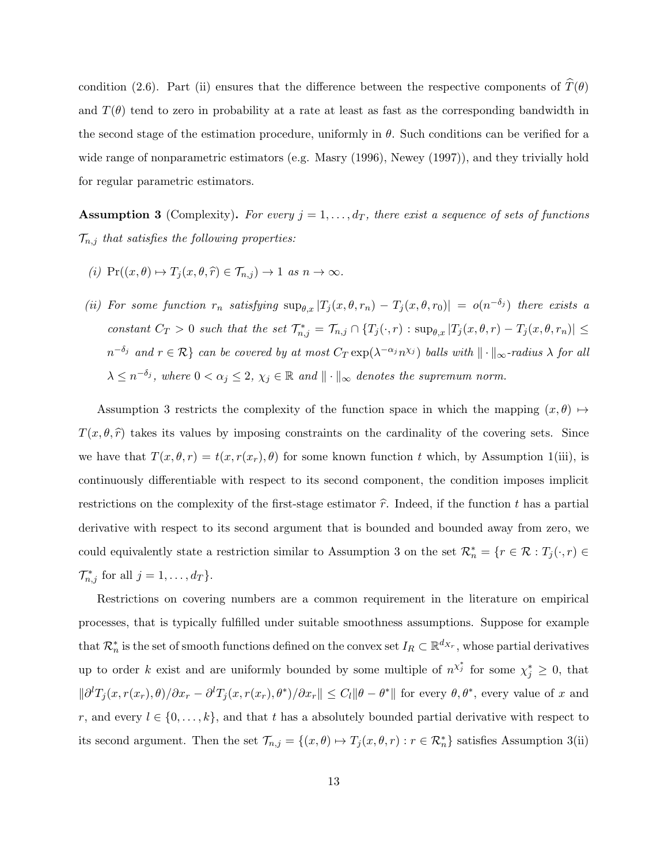condition (2.6). Part (ii) ensures that the difference between the respective components of  $\hat{T}(\theta)$ and  $T(\theta)$  tend to zero in probability at a rate at least as fast as the corresponding bandwidth in the second stage of the estimation procedure, uniformly in  $\theta$ . Such conditions can be verified for a wide range of nonparametric estimators (e.g. Masry (1996), Newey (1997)), and they trivially hold for regular parametric estimators.

**Assumption 3** (Complexity). For every  $j = 1, \ldots, d_T$ , there exist a sequence of sets of functions  $\mathcal{T}_{n,j}$  that satisfies the following properties:

- (i)  $\Pr((x, \theta) \mapsto T_i(x, \theta, \hat{r}) \in \mathcal{T}_{n,i}) \to 1$  as  $n \to \infty$ .
- (ii) For some function  $r_n$  satisfying  $\sup_{\theta,x}|T_j(x,\theta,r_n)-T_j(x,\theta,r_0)| = o(n^{-\delta_j})$  there exists a constant  $C_T > 0$  such that the set  $\mathcal{T}_{n,j}^* = \mathcal{T}_{n,j} \cap \{T_j(\cdot,r) : \sup_{\theta,x} |T_j(x,\theta,r) - T_j(x,\theta,r_n)| \leq$  $n^{-\delta_j}$  and  $r \in \mathcal{R}$  can be covered by at most  $C_T \exp(\lambda^{-\alpha_j} n^{\chi_j})$  balls with  $\| \cdot \|_\infty$ -radius  $\lambda$  for all  $\lambda \leq n^{-\delta_j}$ , where  $0 < \alpha_j \leq 2$ ,  $\chi_j \in \mathbb{R}$  and  $\|\cdot\|_{\infty}$  denotes the supremum norm.

Assumption 3 restricts the complexity of the function space in which the mapping  $(x, \theta) \mapsto$  $T(x, \theta, \hat{r})$  takes its values by imposing constraints on the cardinality of the covering sets. Since we have that  $T(x, \theta, r) = t(x, r(x_r), \theta)$  for some known function t which, by Assumption 1(iii), is continuously differentiable with respect to its second component, the condition imposes implicit restrictions on the complexity of the first-stage estimator  $\hat{r}$ . Indeed, if the function t has a partial derivative with respect to its second argument that is bounded and bounded away from zero, we could equivalently state a restriction similar to Assumption 3 on the set  $\mathcal{R}_n^* = \{r \in \mathcal{R} : T_j(\cdot, r) \in$  $\mathcal{T}_{n,j}^*$  for all  $j=1,\ldots,d_T\}$ .

Restrictions on covering numbers are a common requirement in the literature on empirical processes, that is typically fulfilled under suitable smoothness assumptions. Suppose for example that  $\mathcal{R}_n^*$  is the set of smooth functions defined on the convex set  $I_R \subset \mathbb{R}^{d_{X_r}}$ , whose partial derivatives up to order k exist and are uniformly bounded by some multiple of  $n^{\chi^*_{j}}$  for some  $\chi^*_{j} \geq 0$ , that  $\|\partial^l T_j(x, r(x_r), \theta)/\partial x_r - \partial^l T_j(x, r(x_r), \theta^*)/\partial x_r\| \leq C_l \|\theta - \theta^*\|$  for every  $\theta, \theta^*$ , every value of x and r, and every  $l \in \{0, \ldots, k\}$ , and that t has a absolutely bounded partial derivative with respect to its second argument. Then the set  $\mathcal{T}_{n,j} = \{(x,\theta) \mapsto T_j(x,\theta,r) : r \in \mathcal{R}_n^*\}$  satisfies Assumption 3(ii)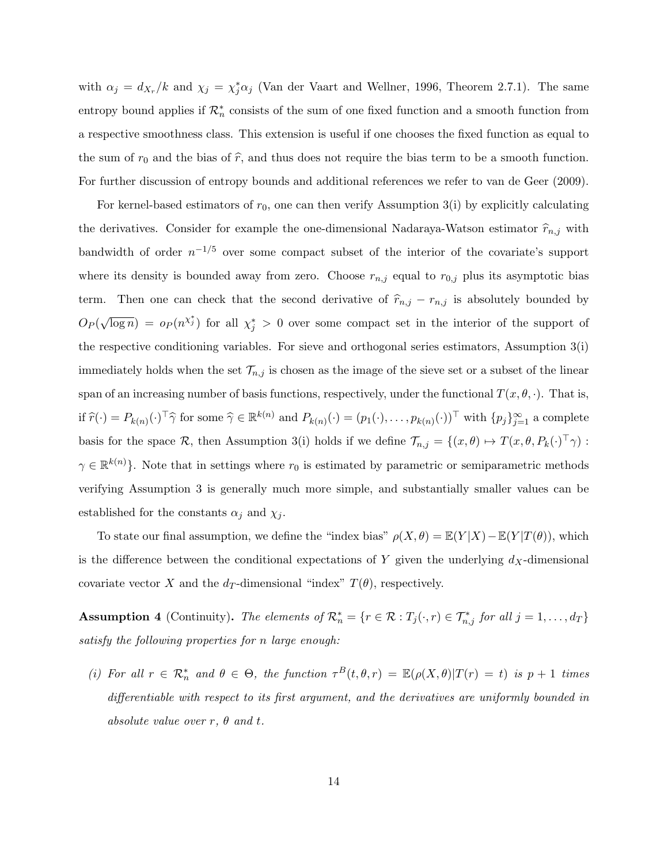with  $\alpha_j = d_{X_r}/k$  and  $\chi_j = \chi_j^* \alpha_j$  (Van der Vaart and Wellner, 1996, Theorem 2.7.1). The same entropy bound applies if  $\mathcal{R}_n^*$  consists of the sum of one fixed function and a smooth function from a respective smoothness class. This extension is useful if one chooses the fixed function as equal to the sum of  $r_0$  and the bias of  $\hat{r}$ , and thus does not require the bias term to be a smooth function. For further discussion of entropy bounds and additional references we refer to van de Geer (2009).

For kernel-based estimators of  $r_0$ , one can then verify Assumption 3(i) by explicitly calculating the derivatives. Consider for example the one-dimensional Nadaraya-Watson estimator  $\hat{r}_{n,j}$  with bandwidth of order  $n^{-1/5}$  over some compact subset of the interior of the covariate's support where its density is bounded away from zero. Choose  $r_{n,j}$  equal to  $r_{0,j}$  plus its asymptotic bias term. Then one can check that the second derivative of  $\hat{r}_{n,j} - r_{n,j}$  is absolutely bounded by  $O_P($ √  $\overline{\log n}$  =  $o_P(n^{\chi_j^*})$  for all  $\chi_j^* > 0$  over some compact set in the interior of the support of the respective conditioning variables. For sieve and orthogonal series estimators, Assumption 3(i) immediately holds when the set  $\mathcal{T}_{n,j}$  is chosen as the image of the sieve set or a subset of the linear span of an increasing number of basis functions, respectively, under the functional  $T(x, \theta, \cdot)$ . That is, if  $\widehat{r}(\cdot) = P_{k(n)}(\cdot)^\top \widehat{\gamma}$  for some  $\widehat{\gamma} \in \mathbb{R}^{k(n)}$  and  $P_{k(n)}(\cdot) = (p_1(\cdot), \dots, p_{k(n)}(\cdot))^\top$  with  $\{p_j\}_{j=1}^{\infty}$  a complete basis for the space R, then Assumption 3(i) holds if we define  $\mathcal{T}_{n,j} = \{(x,\theta) \mapsto T(x,\theta, P_k(\cdot)^\top \gamma)$ :  $\gamma \in \mathbb{R}^{k(n)}$ . Note that in settings where  $r_0$  is estimated by parametric or semiparametric methods verifying Assumption 3 is generally much more simple, and substantially smaller values can be established for the constants  $\alpha_j$  and  $\chi_j$ .

To state our final assumption, we define the "index bias"  $\rho(X, \theta) = \mathbb{E}(Y | X) - \mathbb{E}(Y | T(\theta))$ , which is the difference between the conditional expectations of Y given the underlying  $d_X$ -dimensional covariate vector X and the  $d_T$ -dimensional "index"  $T(\theta)$ , respectively.

**Assumption 4** (Continuity). The elements of  $\mathcal{R}_n^* = \{r \in \mathcal{R} : T_j(\cdot, r) \in \mathcal{T}_{n,j}^* \text{ for all } j = 1, \ldots, d_T\}$ satisfy the following properties for n large enough:

(i) For all  $r \in \mathcal{R}_n^*$  and  $\theta \in \Theta$ , the function  $\tau^B(t,\theta,r) = \mathbb{E}(\rho(X,\theta)|T(r) = t)$  is  $p+1$  times differentiable with respect to its first argument, and the derivatives are uniformly bounded in absolute value over  $r, \theta$  and  $t$ .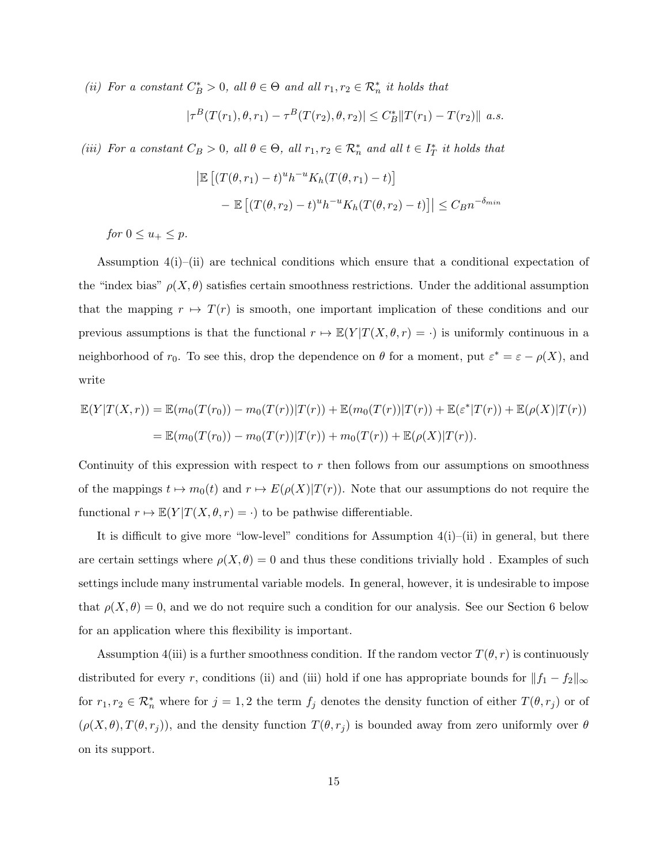(ii) For a constant  $C_B^* > 0$ , all  $\theta \in \Theta$  and all  $r_1, r_2 \in \mathcal{R}_n^*$  it holds that

$$
|\tau^B(T(r_1), \theta, r_1) - \tau^B(T(r_2), \theta, r_2)| \le C_B^* ||T(r_1) - T(r_2)|| \ a.s.
$$

(iii) For a constant  $C_B > 0$ , all  $\theta \in \Theta$ , all  $r_1, r_2 \in \mathcal{R}_n^*$  and all  $t \in I_T^*$  it holds that

$$
\left| \mathbb{E} \left[ (T(\theta, r_1) - t)^u h^{-u} K_h(T(\theta, r_1) - t) \right] \right|
$$
  
- 
$$
\mathbb{E} \left[ (T(\theta, r_2) - t)^u h^{-u} K_h(T(\theta, r_2) - t) \right] \leq C_B n^{-\delta_{min}}
$$

for  $0 \leq u_+ \leq p$ .

Assumption  $4(i)$ –(ii) are technical conditions which ensure that a conditional expectation of the "index bias"  $\rho(X, \theta)$  satisfies certain smoothness restrictions. Under the additional assumption that the mapping  $r \mapsto T(r)$  is smooth, one important implication of these conditions and our previous assumptions is that the functional  $r \mapsto \mathbb{E}(Y | T(X, \theta, r) = \cdot)$  is uniformly continuous in a neighborhood of  $r_0$ . To see this, drop the dependence on  $\theta$  for a moment, put  $\varepsilon^* = \varepsilon - \rho(X)$ , and write

$$
\mathbb{E}(Y|T(X,r)) = \mathbb{E}(m_0(T(r_0)) - m_0(T(r))|T(r)) + \mathbb{E}(m_0(T(r))|T(r)) + \mathbb{E}(\varepsilon^*|T(r)) + \mathbb{E}(\rho(X)|T(r))
$$
  
= 
$$
\mathbb{E}(m_0(T(r_0)) - m_0(T(r))|T(r)) + m_0(T(r)) + \mathbb{E}(\rho(X)|T(r)).
$$

Continuity of this expression with respect to  $r$  then follows from our assumptions on smoothness of the mappings  $t \mapsto m_0(t)$  and  $r \mapsto E(\rho(X)|T(r))$ . Note that our assumptions do not require the functional  $r \mapsto \mathbb{E}(Y | T(X, \theta, r) = \cdot)$  to be pathwise differentiable.

It is difficult to give more "low-level" conditions for Assumption  $4(i)$ –(ii) in general, but there are certain settings where  $\rho(X, \theta) = 0$  and thus these conditions trivially hold. Examples of such settings include many instrumental variable models. In general, however, it is undesirable to impose that  $\rho(X, \theta) = 0$ , and we do not require such a condition for our analysis. See our Section 6 below for an application where this flexibility is important.

Assumption 4(iii) is a further smoothness condition. If the random vector  $T(\theta, r)$  is continuously distributed for every r, conditions (ii) and (iii) hold if one has appropriate bounds for  $||f_1 - f_2||_{\infty}$ for  $r_1, r_2 \in \mathcal{R}_n^*$  where for  $j = 1, 2$  the term  $f_j$  denotes the density function of either  $T(\theta, r_j)$  or of  $(\rho(X,\theta), T(\theta, r_j))$ , and the density function  $T(\theta, r_j)$  is bounded away from zero uniformly over  $\theta$ on its support.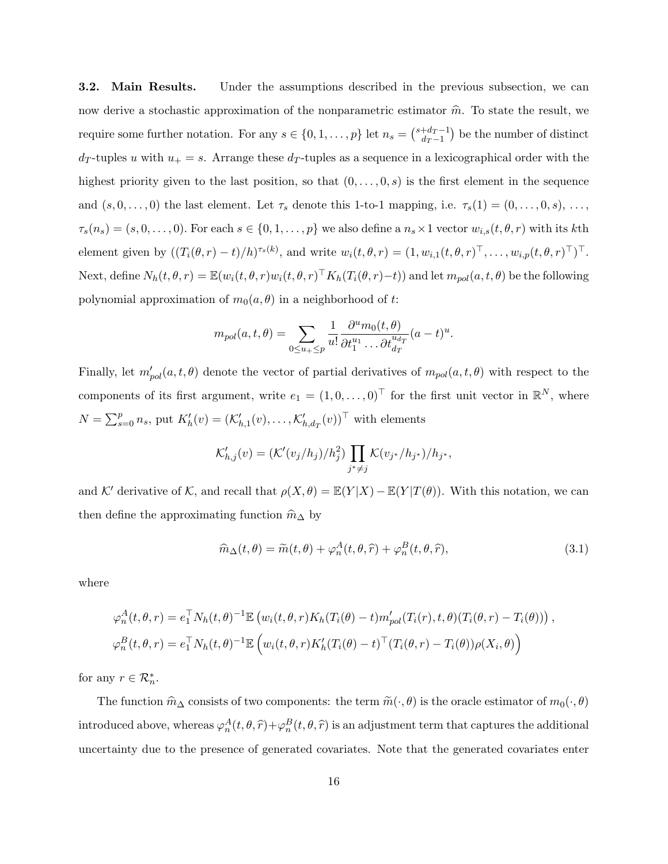**3.2. Main Results.** Under the assumptions described in the previous subsection, we can now derive a stochastic approximation of the nonparametric estimator  $\hat{m}$ . To state the result, we require some further notation. For any  $s \in \{0, 1, \ldots, p\}$  let  $n_s = \binom{s+d_T-1}{dr-1}$  $\frac{d_T - 1}{d_T - 1}$  be the number of distinct  $d_T$ -tuples u with  $u_+ = s$ . Arrange these  $d_T$ -tuples as a sequence in a lexicographical order with the highest priority given to the last position, so that  $(0, \ldots, 0, s)$  is the first element in the sequence and  $(s, 0, \ldots, 0)$  the last element. Let  $\tau_s$  denote this 1-to-1 mapping, i.e.  $\tau_s(1) = (0, \ldots, 0, s), \ldots$  $\tau_s(n_s) = (s, 0, \ldots, 0)$ . For each  $s \in \{0, 1, \ldots, p\}$  we also define a  $n_s \times 1$  vector  $w_{i,s}(t, \theta, r)$  with its kth element given by  $((T_i(\theta, r) - t)/h)^{\tau_s(k)}$ , and write  $w_i(t, \theta, r) = (1, w_{i,1}(t, \theta, r)^{\top}, \dots, w_{i,p}(t, \theta, r)^{\top})^{\top}$ . Next, define  $N_h(t, \theta, r) = \mathbb{E}(w_i(t, \theta, r)w_i(t, \theta, r)^{\top} K_h(T_i(\theta, r) - t))$  and let  $m_{pol}(a, t, \theta)$  be the following polynomial approximation of  $m_0(a, \theta)$  in a neighborhood of t:

$$
m_{pol}(a,t,\theta) = \sum_{0 \le u_+ \le p} \frac{1}{u!} \frac{\partial^u m_0(t,\theta)}{\partial t_1^{u_1} \dots \partial t_{d_T}^{u_{d_T}}}(a-t)^u.
$$

Finally, let  $m'_{pol}(a, t, \theta)$  denote the vector of partial derivatives of  $m_{pol}(a, t, \theta)$  with respect to the components of its first argument, write  $e_1 = (1, 0, \ldots, 0)^\top$  for the first unit vector in  $\mathbb{R}^N$ , where  $N = \sum_{s=0}^{p} n_s$ , put  $K'_h(v) = (K'_{h,1}(v), \ldots, K'_{h,d_T}(v))^{\top}$  with elements

$$
\mathcal{K}'_{h,j}(v) = (\mathcal{K}'(v_j/h_j)/h_j^2) \prod_{j^* \neq j} \mathcal{K}(v_{j^*}/h_{j^*})/h_{j^*},
$$

and K' derivative of K, and recall that  $\rho(X, \theta) = \mathbb{E}(Y | X) - \mathbb{E}(Y | T(\theta))$ . With this notation, we can then define the approximating function  $\widehat{m}_{\Delta}$  by

$$
\widehat{m}_{\Delta}(t,\theta) = \widetilde{m}(t,\theta) + \varphi_n^A(t,\theta,\widehat{r}) + \varphi_n^B(t,\theta,\widehat{r}),\tag{3.1}
$$

where

$$
\varphi_n^A(t,\theta,r) = e_1^\top N_h(t,\theta)^{-1} \mathbb{E} \left( w_i(t,\theta,r) K_h(T_i(\theta) - t) m'_{pol}(T_i(r),t,\theta) (T_i(\theta,r) - T_i(\theta)) \right),
$$
  

$$
\varphi_n^B(t,\theta,r) = e_1^\top N_h(t,\theta)^{-1} \mathbb{E} \left( w_i(t,\theta,r) K_h'(T_i(\theta) - t)^\top (T_i(\theta,r) - T_i(\theta)) \rho(X_i,\theta) \right)
$$

for any  $r \in \mathcal{R}_n^*$ .

The function  $\hat{m}_{\Delta}$  consists of two components: the term  $\tilde{m}(\cdot, \theta)$  is the oracle estimator of  $m_0(\cdot, \theta)$ introduced above, whereas  $\varphi_n^A(t, \theta, \hat{r}) + \varphi_n^B(t, \theta, \hat{r})$  is an adjustment term that captures the additional uncertainty due to the presence of generated covariates. Note that the generated covariates enter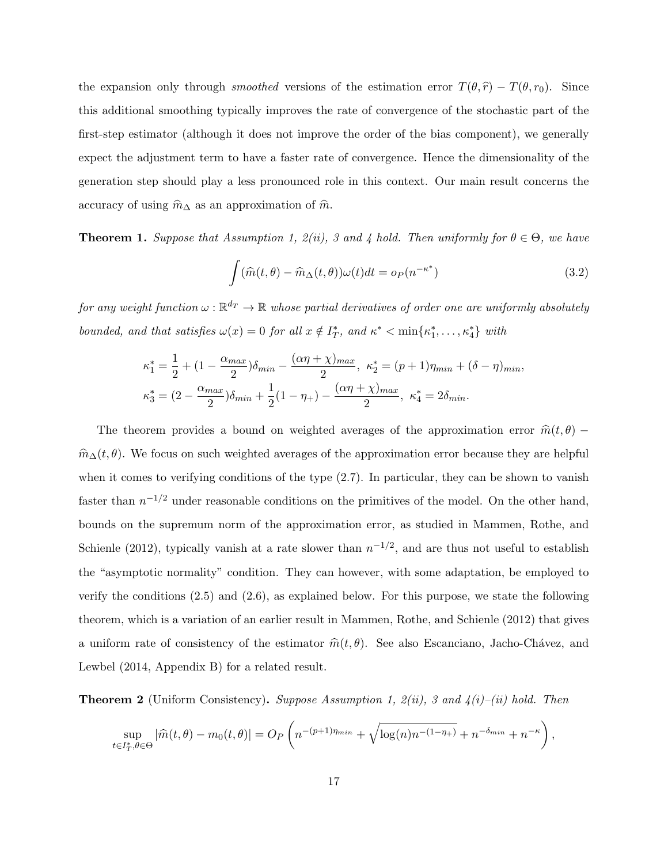the expansion only through *smoothed* versions of the estimation error  $T(\theta, \hat{r}) - T(\theta, r_0)$ . Since this additional smoothing typically improves the rate of convergence of the stochastic part of the first-step estimator (although it does not improve the order of the bias component), we generally expect the adjustment term to have a faster rate of convergence. Hence the dimensionality of the generation step should play a less pronounced role in this context. Our main result concerns the accuracy of using  $\hat{m}_{\Delta}$  as an approximation of  $\hat{m}$ .

**Theorem 1.** Suppose that Assumption 1,  $2(ii)$ , 3 and 4 hold. Then uniformly for  $\theta \in \Theta$ , we have

$$
\int (\widehat{m}(t,\theta) - \widehat{m}_{\Delta}(t,\theta))\omega(t)dt = o_P(n^{-\kappa^*})
$$
\n(3.2)

for any weight function  $\omega:\mathbb{R}^{d_T}\to\mathbb{R}$  whose partial derivatives of order one are uniformly absolutely bounded, and that satisfies  $\omega(x) = 0$  for all  $x \notin I_T^*$ , and  $\kappa^* < \min\{\kappa_1^*, \ldots, \kappa_4^*\}$  with

$$
\kappa_1^* = \frac{1}{2} + (1 - \frac{\alpha_{max}}{2})\delta_{min} - \frac{(\alpha \eta + \chi)_{max}}{2}, \ \kappa_2^* = (p+1)\eta_{min} + (\delta - \eta)_{min},
$$
  

$$
\kappa_3^* = (2 - \frac{\alpha_{max}}{2})\delta_{min} + \frac{1}{2}(1 - \eta_+) - \frac{(\alpha \eta + \chi)_{max}}{2}, \ \kappa_4^* = 2\delta_{min}.
$$

The theorem provides a bound on weighted averages of the approximation error  $\hat{m}(t, \theta)$  −  $\hat{m}_{\Delta}(t, \theta)$ . We focus on such weighted averages of the approximation error because they are helpful when it comes to verifying conditions of the type  $(2.7)$ . In particular, they can be shown to vanish faster than  $n^{-1/2}$  under reasonable conditions on the primitives of the model. On the other hand, bounds on the supremum norm of the approximation error, as studied in Mammen, Rothe, and Schienle (2012), typically vanish at a rate slower than  $n^{-1/2}$ , and are thus not useful to establish the "asymptotic normality" condition. They can however, with some adaptation, be employed to verify the conditions (2.5) and (2.6), as explained below. For this purpose, we state the following theorem, which is a variation of an earlier result in Mammen, Rothe, and Schienle (2012) that gives a uniform rate of consistency of the estimator  $\hat{m}(t, \theta)$ . See also Escanciano, Jacho-Chávez, and Lewbel (2014, Appendix B) for a related result.

**Theorem 2** (Uniform Consistency). Suppose Assumption 1,  $2(ii)$ , 3 and  $4(i)$ –(ii) hold. Then

$$
\sup_{t \in I_T^*, \theta \in \Theta} |\widehat{m}(t, \theta) - m_0(t, \theta)| = O_P\left(n^{-(p+1)\eta_{min}} + \sqrt{\log(n)n^{-(1-\eta_{+})}} + n^{-\delta_{min}} + n^{-\kappa}\right),
$$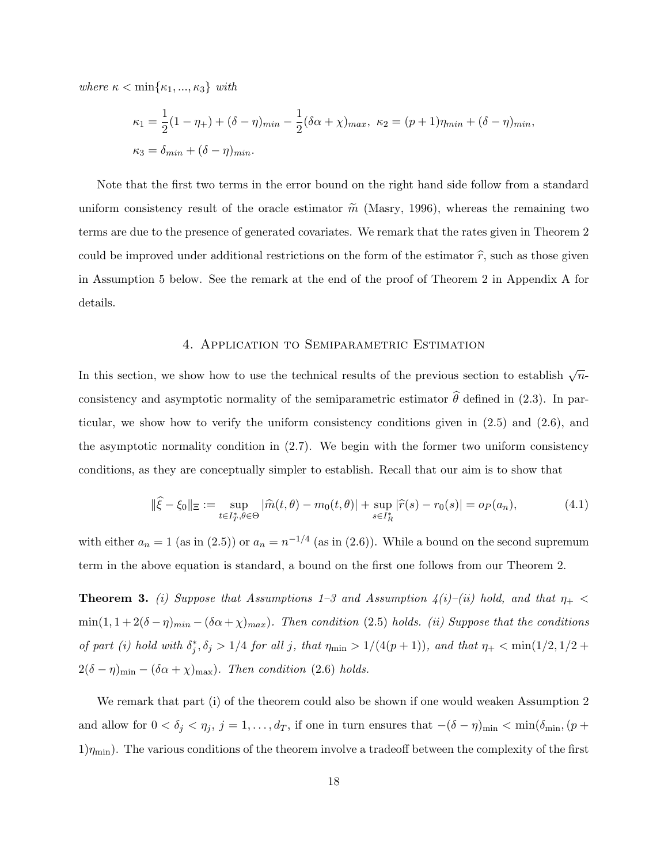where  $\kappa < \min\{\kappa_1, ..., \kappa_3\}$  with

$$
\kappa_1 = \frac{1}{2}(1 - \eta_+) + (\delta - \eta)_{min} - \frac{1}{2}(\delta \alpha + \chi)_{max}, \ \kappa_2 = (p + 1)\eta_{min} + (\delta - \eta)_{min},
$$
  

$$
\kappa_3 = \delta_{min} + (\delta - \eta)_{min}.
$$

Note that the first two terms in the error bound on the right hand side follow from a standard uniform consistency result of the oracle estimator  $\tilde{m}$  (Masry, 1996), whereas the remaining two terms are due to the presence of generated covariates. We remark that the rates given in Theorem 2 could be improved under additional restrictions on the form of the estimator  $\hat{r}$ , such as those given in Assumption 5 below. See the remark at the end of the proof of Theorem 2 in Appendix A for details.

### 4. Application to Semiparametric Estimation

In this section, we show how to use the technical results of the previous section to establish  $\sqrt{n}$ . consistency and asymptotic normality of the semiparametric estimator  $\hat{\theta}$  defined in (2.3). In particular, we show how to verify the uniform consistency conditions given in  $(2.5)$  and  $(2.6)$ , and the asymptotic normality condition in (2.7). We begin with the former two uniform consistency conditions, as they are conceptually simpler to establish. Recall that our aim is to show that

$$
\|\hat{\xi} - \xi_0\|_{\Xi} := \sup_{t \in I_T^*, \theta \in \Theta} |\hat{m}(t, \theta) - m_0(t, \theta)| + \sup_{s \in I_R^*} |\hat{r}(s) - r_0(s)| = o_P(a_n),
$$
\n(4.1)

with either  $a_n = 1$  (as in (2.5)) or  $a_n = n^{-1/4}$  (as in (2.6)). While a bound on the second supremum term in the above equation is standard, a bound on the first one follows from our Theorem 2.

**Theorem 3.** (i) Suppose that Assumptions 1–3 and Assumption  $\lambda(i)$ –(ii) hold, and that  $\eta_+$ min $(1, 1 + 2(\delta - \eta)_{min} - (\delta \alpha + \chi)_{max})$ . Then condition (2.5) holds. (ii) Suppose that the conditions of part (i) hold with  $\delta_j^*, \delta_j > 1/4$  for all j, that  $\eta_{\min} > 1/(4(p+1))$ , and that  $\eta_+ < \min(1/2, 1/2 +$  $2(\delta - \eta)_{\min} - (\delta \alpha + \chi)_{\max}$ . Then condition (2.6) holds.

We remark that part (i) of the theorem could also be shown if one would weaken Assumption 2 and allow for  $0 < \delta_j < \eta_j$ ,  $j = 1, \ldots, d_T$ , if one in turn ensures that  $-(\delta - \eta)_{\min} < \min(\delta_{\min}, (p +$  $1)\eta_{\min}$ ). The various conditions of the theorem involve a tradeoff between the complexity of the first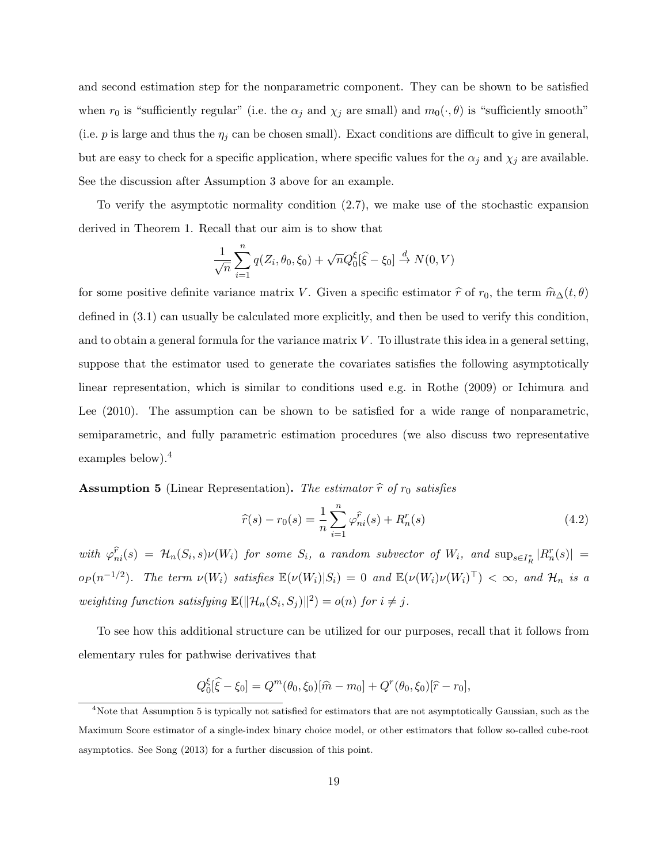and second estimation step for the nonparametric component. They can be shown to be satisfied when  $r_0$  is "sufficiently regular" (i.e. the  $\alpha_j$  and  $\chi_j$  are small) and  $m_0(\cdot, \theta)$  is "sufficiently smooth" (i.e.  $p$  is large and thus the  $\eta_j$  can be chosen small). Exact conditions are difficult to give in general, but are easy to check for a specific application, where specific values for the  $\alpha_j$  and  $\chi_j$  are available. See the discussion after Assumption 3 above for an example.

To verify the asymptotic normality condition (2.7), we make use of the stochastic expansion derived in Theorem 1. Recall that our aim is to show that

$$
\frac{1}{\sqrt{n}} \sum_{i=1}^{n} q(Z_i, \theta_0, \xi_0) + \sqrt{n} Q_0^{\xi} [\hat{\xi} - \xi_0] \stackrel{d}{\to} N(0, V)
$$

for some positive definite variance matrix V. Given a specific estimator  $\hat{r}$  of  $r_0$ , the term  $\hat{m}_{\Delta}(t, \theta)$ defined in (3.1) can usually be calculated more explicitly, and then be used to verify this condition, and to obtain a general formula for the variance matrix  $V$ . To illustrate this idea in a general setting, suppose that the estimator used to generate the covariates satisfies the following asymptotically linear representation, which is similar to conditions used e.g. in Rothe (2009) or Ichimura and Lee (2010). The assumption can be shown to be satisfied for a wide range of nonparametric, semiparametric, and fully parametric estimation procedures (we also discuss two representative examples below).<sup>4</sup>

**Assumption 5** (Linear Representation). The estimator  $\hat{r}$  of  $r_0$  satisfies

$$
\widehat{r}(s) - r_0(s) = \frac{1}{n} \sum_{i=1}^n \varphi_{ni}^{\widehat{r}}(s) + R_n^r(s)
$$
\n(4.2)

with  $\varphi_{ni}^{\hat{r}}(s) = \mathcal{H}_n(S_i, s) \nu(W_i)$  for some  $S_i$ , a random subvector of  $W_i$ , and  $\sup_{s \in I_R^*} |R_n^r(s)| =$  $o_P(n^{-1/2})$ . The term  $\nu(W_i)$  satisfies  $\mathbb{E}(\nu(W_i)|S_i) = 0$  and  $\mathbb{E}(\nu(W_i)\nu(W_i)^{\top}) < \infty$ , and  $\mathcal{H}_n$  is a weighting function satisfying  $\mathbb{E}(\|\mathcal{H}_n(S_i, S_j)\|^2) = o(n)$  for  $i \neq j$ .

To see how this additional structure can be utilized for our purposes, recall that it follows from elementary rules for pathwise derivatives that

$$
Q_0^{\xi}[\hat{\xi} - \xi_0] = Q^m(\theta_0, \xi_0)[\hat{m} - m_0] + Q^r(\theta_0, \xi_0)[\hat{r} - r_0],
$$

<sup>&</sup>lt;sup>4</sup>Note that Assumption 5 is typically not satisfied for estimators that are not asymptotically Gaussian, such as the Maximum Score estimator of a single-index binary choice model, or other estimators that follow so-called cube-root asymptotics. See Song (2013) for a further discussion of this point.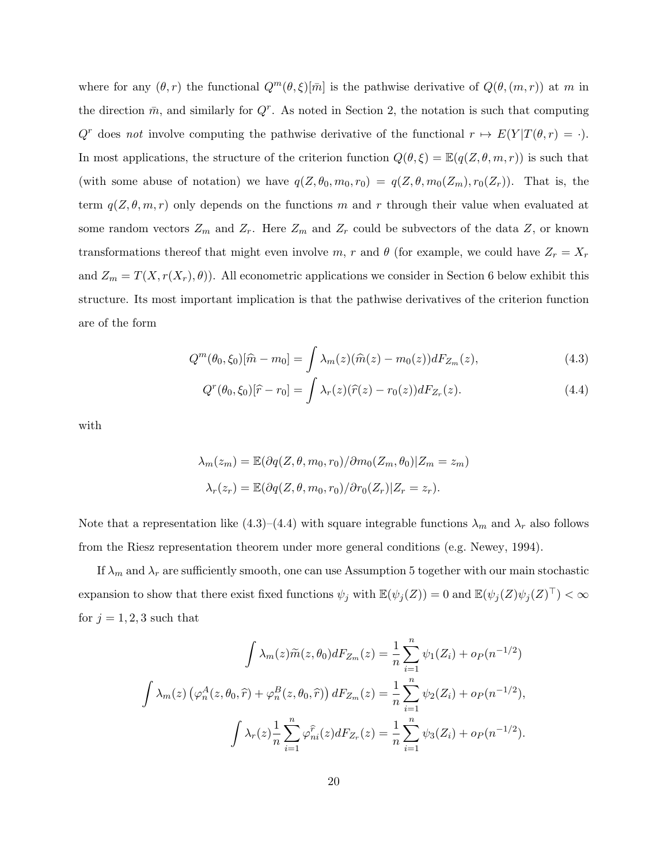where for any  $(\theta, r)$  the functional  $Q^m(\theta, \xi)[\bar{m}]$  is the pathwise derivative of  $Q(\theta, (m, r))$  at m in the direction  $\bar{m}$ , and similarly for  $Q^r$ . As noted in Section 2, the notation is such that computing  $Q^r$  does not involve computing the pathwise derivative of the functional  $r \mapsto E(Y|T(\theta, r) = \cdot)$ . In most applications, the structure of the criterion function  $Q(\theta, \xi) = \mathbb{E}(q(Z, \theta, m, r))$  is such that (with some abuse of notation) we have  $q(Z, \theta_0, m_0, r_0) = q(Z, \theta, m_0(Z_m), r_0(Z_r))$ . That is, the term  $q(Z, \theta, m, r)$  only depends on the functions m and r through their value when evaluated at some random vectors  $Z_m$  and  $Z_r$ . Here  $Z_m$  and  $Z_r$  could be subvectors of the data  $Z$ , or known transformations thereof that might even involve m, r and  $\theta$  (for example, we could have  $Z_r = X_r$ and  $Z_m = T(X, r(X_r), \theta)$ . All econometric applications we consider in Section 6 below exhibit this structure. Its most important implication is that the pathwise derivatives of the criterion function are of the form

$$
Q^{m}(\theta_{0}, \xi_{0})[\hat{m} - m_{0}] = \int \lambda_{m}(z)(\hat{m}(z) - m_{0}(z))dF_{Z_{m}}(z), \qquad (4.3)
$$

$$
Q^{r}(\theta_{0}, \xi_{0})[\hat{r} - r_{0}] = \int \lambda_{r}(z)(\hat{r}(z) - r_{0}(z))dF_{Z_{r}}(z).
$$
\n(4.4)

with

$$
\lambda_m(z_m) = \mathbb{E}(\partial q(Z, \theta, m_0, r_0) / \partial m_0(Z_m, \theta_0) | Z_m = z_m)
$$

$$
\lambda_r(z_r) = \mathbb{E}(\partial q(Z, \theta, m_0, r_0) / \partial r_0(Z_r) | Z_r = z_r).
$$

Note that a representation like (4.3)–(4.4) with square integrable functions  $\lambda_m$  and  $\lambda_r$  also follows from the Riesz representation theorem under more general conditions (e.g. Newey, 1994).

If  $\lambda_m$  and  $\lambda_r$  are sufficiently smooth, one can use Assumption 5 together with our main stochastic expansion to show that there exist fixed functions  $\psi_j$  with  $\mathbb{E}(\psi_j(Z)) = 0$  and  $\mathbb{E}(\psi_j(Z)\psi_j(Z)^\top) < \infty$ for  $j = 1, 2, 3$  such that

$$
\int \lambda_m(z)\tilde{m}(z,\theta_0)dF_{Z_m}(z) = \frac{1}{n}\sum_{i=1}^n \psi_1(Z_i) + op(n^{-1/2})
$$

$$
\int \lambda_m(z)\left(\varphi_n^A(z,\theta_0,\hat{r}) + \varphi_n^B(z,\theta_0,\hat{r})\right)dF_{Z_m}(z) = \frac{1}{n}\sum_{i=1}^n \psi_2(Z_i) + op(n^{-1/2}),
$$

$$
\int \lambda_r(z)\frac{1}{n}\sum_{i=1}^n \varphi_{ni}^{\hat{r}}(z)dF_{Z_r}(z) = \frac{1}{n}\sum_{i=1}^n \psi_3(Z_i) + op(n^{-1/2}).
$$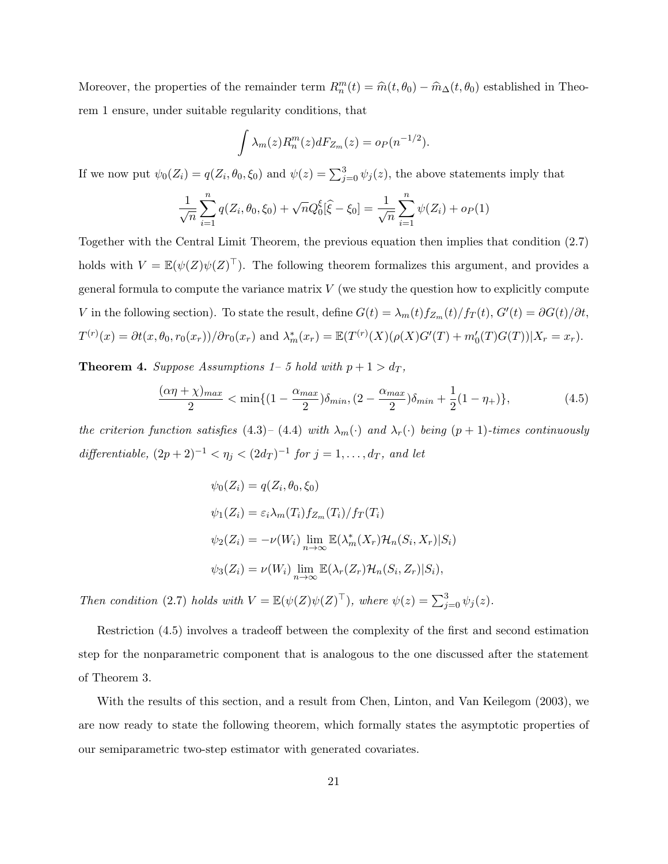Moreover, the properties of the remainder term  $R_n^m(t) = \hat{m}(t, \theta_0) - \hat{m}_{\Delta}(t, \theta_0)$  established in Theorem 1 ensure, under suitable regularity conditions, that

$$
\int \lambda_m(z) R_n^m(z) dF_{Z_m}(z) = o_P(n^{-1/2}).
$$

If we now put  $\psi_0(Z_i) = q(Z_i, \theta_0, \xi_0)$  and  $\psi(z) = \sum_{j=0}^3 \psi_j(z)$ , the above statements imply that

$$
\frac{1}{\sqrt{n}} \sum_{i=1}^{n} q(Z_i, \theta_0, \xi_0) + \sqrt{n} Q_0^{\xi} [\widehat{\xi} - \xi_0] = \frac{1}{\sqrt{n}} \sum_{i=1}^{n} \psi(Z_i) + o_P(1)
$$

Together with the Central Limit Theorem, the previous equation then implies that condition (2.7) holds with  $V = \mathbb{E}(\psi(Z)\psi(Z)^{\top})$ . The following theorem formalizes this argument, and provides a general formula to compute the variance matrix  $V$  (we study the question how to explicitly compute V in the following section). To state the result, define  $G(t) = \lambda_m(t) f_{Z_m}(t) / f_T(t)$ ,  $G'(t) = \partial G(t) / \partial t$ ,  $T^{(r)}(x) = \partial t(x, \theta_0, r_0(x_r))/\partial r_0(x_r)$  and  $\lambda_m^*(x_r) = \mathbb{E}(T^{(r)}(X)(\rho(X)G'(T) + m'_0(T)G(T))|X_r = x_r)$ .

**Theorem 4.** Suppose Assumptions  $1-5$  hold with  $p + 1 > d_T$ ,

$$
\frac{(\alpha \eta + \chi)_{max}}{2} < \min\{(1 - \frac{\alpha_{max}}{2})\delta_{min}, (2 - \frac{\alpha_{max}}{2})\delta_{min} + \frac{1}{2}(1 - \eta_{+})\},\tag{4.5}
$$

the criterion function satisfies (4.3)– (4.4) with  $\lambda_m(\cdot)$  and  $\lambda_r(\cdot)$  being  $(p+1)$ -times continuously differentiable,  $(2p+2)^{-1} < \eta_j < (2d_T)^{-1}$  for  $j = 1, \ldots, d_T$ , and let

$$
\psi_0(Z_i) = q(Z_i, \theta_0, \xi_0)
$$
  
\n
$$
\psi_1(Z_i) = \varepsilon_i \lambda_m(T_i) f_{Z_m}(T_i) / f_T(T_i)
$$
  
\n
$$
\psi_2(Z_i) = -\nu(W_i) \lim_{n \to \infty} \mathbb{E}(\lambda_m^*(X_r) \mathcal{H}_n(S_i, X_r) | S_i)
$$
  
\n
$$
\psi_3(Z_i) = \nu(W_i) \lim_{n \to \infty} \mathbb{E}(\lambda_r(Z_r) \mathcal{H}_n(S_i, Z_r) | S_i),
$$

Then condition (2.7) holds with  $V = \mathbb{E}(\psi(Z)\psi(Z)^{\top})$ , where  $\psi(z) = \sum_{j=0}^{3} \psi_j(z)$ .

Restriction (4.5) involves a tradeoff between the complexity of the first and second estimation step for the nonparametric component that is analogous to the one discussed after the statement of Theorem 3.

With the results of this section, and a result from Chen, Linton, and Van Keilegom (2003), we are now ready to state the following theorem, which formally states the asymptotic properties of our semiparametric two-step estimator with generated covariates.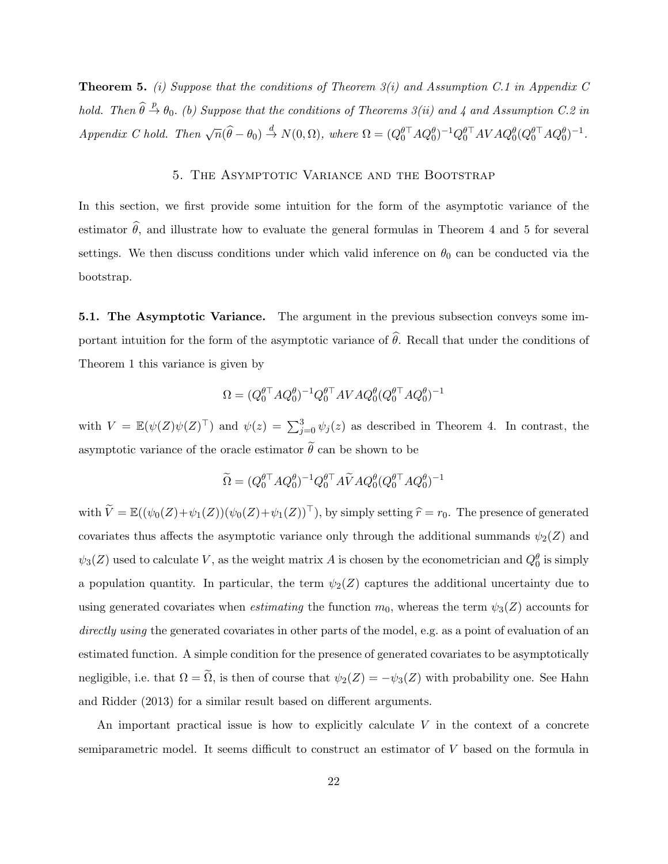**Theorem 5.** (i) Suppose that the conditions of Theorem  $3(i)$  and Assumption C.1 in Appendix C hold. Then  $\widehat{\theta} \stackrel{p}{\rightarrow} \theta_0$ . (b) Suppose that the conditions of Theorems 3(ii) and 4 and Assumption C.2 in  $Appendix\ C\ hold.\ Then\ \sqrt{n}(\widehat{\theta}-\theta_0)\stackrel{d}{\rightarrow} N(0,\Omega),\ where\ \Omega=(Q_0^{\theta\top}AQ_0^{\theta})^{-1}Q_0^{\theta\top}AVAQ_0^{\theta}(Q_0^{\theta\top}AQ_0^{\theta})^{-1}.$ 

### 5. The Asymptotic Variance and the Bootstrap

In this section, we first provide some intuition for the form of the asymptotic variance of the estimator  $\hat{\theta}$ , and illustrate how to evaluate the general formulas in Theorem 4 and 5 for several settings. We then discuss conditions under which valid inference on  $\theta_0$  can be conducted via the bootstrap.

5.1. The Asymptotic Variance. The argument in the previous subsection conveys some important intuition for the form of the asymptotic variance of  $\hat{\theta}$ . Recall that under the conditions of Theorem 1 this variance is given by

$$
\Omega=(Q_0^{\theta\top}AQ_0^{\theta})^{-1}Q_0^{\theta\top}AVAQ_0^{\theta}(Q_0^{\theta\top}AQ_0^{\theta})^{-1}
$$

with  $V = \mathbb{E}(\psi(Z)\psi(Z)^{\top})$  and  $\psi(z) = \sum_{j=0}^{3} \psi_j(z)$  as described in Theorem 4. In contrast, the asymptotic variance of the oracle estimator  $\tilde{\theta}$  can be shown to be

$$
\widetilde{\Omega} = (Q_0^{\theta\top}AQ_0^\theta)^{-1}Q_0^{\theta\top}A\widetilde{V}AQ_0^\theta(Q_0^{\theta\top}AQ_0^\theta)^{-1}
$$

with  $\widetilde{V} = \mathbb{E}((\psi_0(Z)+\psi_1(Z))(\psi_0(Z)+\psi_1(Z))^{\top})$ , by simply setting  $\widehat{r} = r_0$ . The presence of generated covariates thus affects the asymptotic variance only through the additional summands  $\psi_2(Z)$  and  $\psi_3(Z)$  used to calculate V, as the weight matrix A is chosen by the econometrician and  $Q_0^{\theta}$  is simply a population quantity. In particular, the term  $\psi_2(Z)$  captures the additional uncertainty due to using generated covariates when *estimating* the function  $m_0$ , whereas the term  $\psi_3(Z)$  accounts for directly using the generated covariates in other parts of the model, e.g. as a point of evaluation of an estimated function. A simple condition for the presence of generated covariates to be asymptotically negligible, i.e. that  $\Omega = \tilde{\Omega}$ , is then of course that  $\psi_2(Z) = -\psi_3(Z)$  with probability one. See Hahn and Ridder (2013) for a similar result based on different arguments.

An important practical issue is how to explicitly calculate  $V$  in the context of a concrete semiparametric model. It seems difficult to construct an estimator of V based on the formula in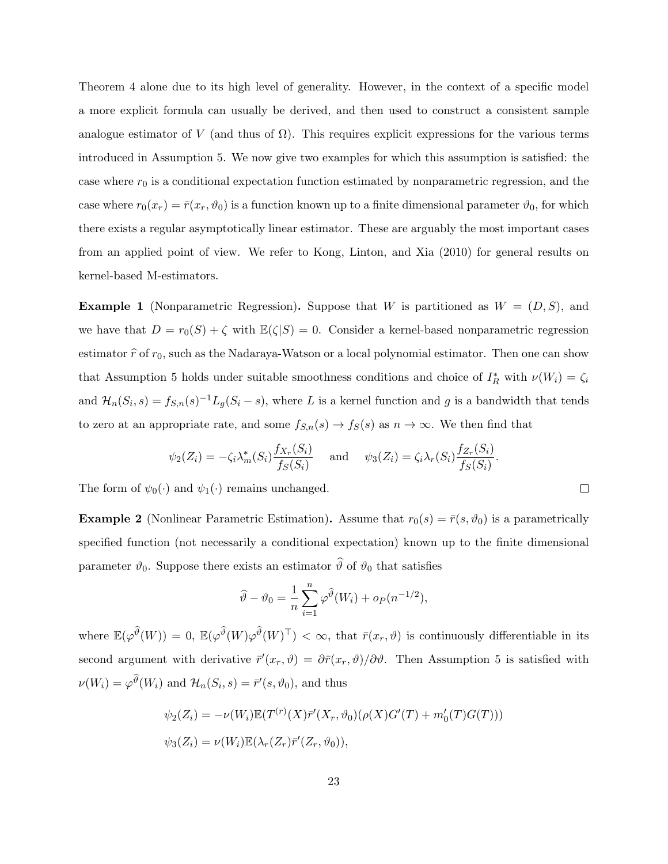Theorem 4 alone due to its high level of generality. However, in the context of a specific model a more explicit formula can usually be derived, and then used to construct a consistent sample analogue estimator of V (and thus of  $\Omega$ ). This requires explicit expressions for the various terms introduced in Assumption 5. We now give two examples for which this assumption is satisfied: the case where  $r_0$  is a conditional expectation function estimated by nonparametric regression, and the case where  $r_0(x_r) = \bar{r}(x_r, \vartheta_0)$  is a function known up to a finite dimensional parameter  $\vartheta_0$ , for which there exists a regular asymptotically linear estimator. These are arguably the most important cases from an applied point of view. We refer to Kong, Linton, and Xia (2010) for general results on kernel-based M-estimators.

**Example 1** (Nonparametric Regression). Suppose that W is partitioned as  $W = (D, S)$ , and we have that  $D = r_0(S) + \zeta$  with  $\mathbb{E}(\zeta|S) = 0$ . Consider a kernel-based nonparametric regression estimator  $\hat{r}$  of  $r_0$ , such as the Nadaraya-Watson or a local polynomial estimator. Then one can show that Assumption 5 holds under suitable smoothness conditions and choice of  $I_R^*$  with  $\nu(W_i) = \zeta_i$ and  $\mathcal{H}_n(S_i, s) = f_{S,n}(s)^{-1} L_g(S_i - s)$ , where L is a kernel function and g is a bandwidth that tends to zero at an appropriate rate, and some  $f_{S,n}(s) \to f_S(s)$  as  $n \to \infty$ . We then find that

$$
\psi_2(Z_i) = -\zeta_i \lambda_m^*(S_i) \frac{f_{X_r}(S_i)}{f_S(S_i)} \quad \text{and} \quad \psi_3(Z_i) = \zeta_i \lambda_r(S_i) \frac{f_{Z_r}(S_i)}{f_S(S_i)}.
$$

 $\Box$ 

The form of  $\psi_0(\cdot)$  and  $\psi_1(\cdot)$  remains unchanged.

**Example 2** (Nonlinear Parametric Estimation). Assume that  $r_0(s) = \bar{r}(s, \vartheta_0)$  is a parametrically specified function (not necessarily a conditional expectation) known up to the finite dimensional parameter  $\vartheta_0$ . Suppose there exists an estimator  $\widehat{\vartheta}$  of  $\vartheta_0$  that satisfies

$$
\widehat{\vartheta} - \vartheta_0 = \frac{1}{n} \sum_{i=1}^n \varphi^{\widehat{\vartheta}}(W_i) + o_P(n^{-1/2}),
$$

where  $\mathbb{E}(\varphi^{\widehat{\theta}}(W)) = 0$ ,  $\mathbb{E}(\varphi^{\widehat{\theta}}(W)\varphi^{\widehat{\theta}}(W)^{\top}) < \infty$ , that  $\bar{r}(x_r, \vartheta)$  is continuously differentiable in its second argument with derivative  $\bar{r}'(x_r, \vartheta) = \partial \bar{r}(x_r, \vartheta) / \partial \vartheta$ . Then Assumption 5 is satisfied with  $\nu(W_i) = \varphi^{\vartheta}(W_i)$  and  $\mathcal{H}_n(S_i, s) = \bar{r}'(s, \vartheta_0)$ , and thus

$$
\psi_2(Z_i) = -\nu(W_i) \mathbb{E}(T^{(r)}(X)\bar{r}'(X_r, \vartheta_0)(\rho(X)G'(T) + m'_0(T)G(T)))
$$
  

$$
\psi_3(Z_i) = \nu(W_i) \mathbb{E}(\lambda_r(Z_r)\bar{r}'(Z_r, \vartheta_0)),
$$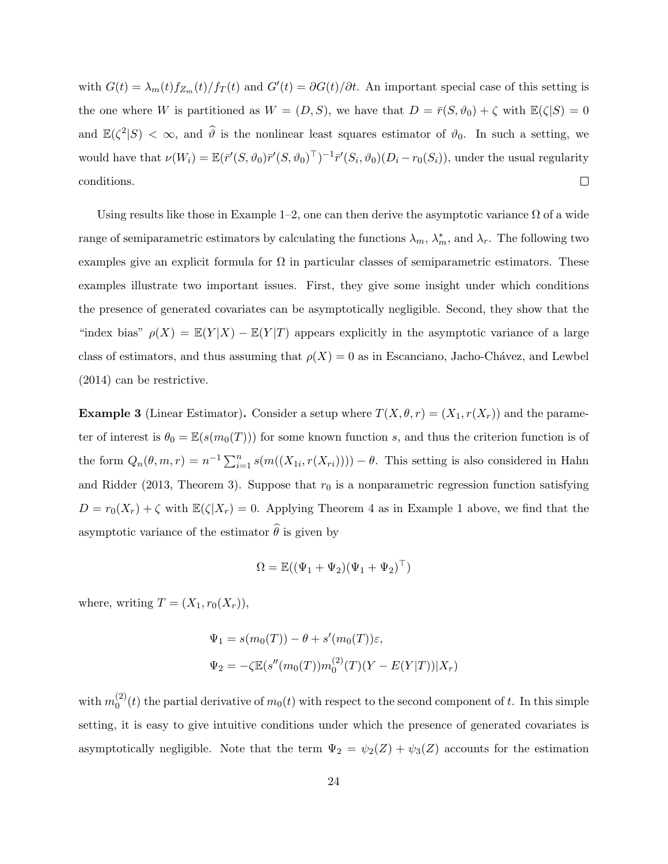with  $G(t) = \lambda_m(t) f_{Z_m}(t) / f_T(t)$  and  $G'(t) = \partial G(t) / \partial t$ . An important special case of this setting is the one where W is partitioned as  $W = (D, S)$ , we have that  $D = \bar{r}(S, \vartheta_0) + \zeta$  with  $\mathbb{E}(\zeta|S) = 0$ and  $\mathbb{E}(\zeta^2|S) < \infty$ , and  $\widehat{\theta}$  is the nonlinear least squares estimator of  $\vartheta_0$ . In such a setting, we would have that  $\nu(W_i) = \mathbb{E}(\bar{r}'(S, \vartheta_0)\bar{r}'(S, \vartheta_0)^{\top})^{-1}\bar{r}'(S_i, \vartheta_0)(D_i - r_0(S_i))$ , under the usual regularity conditions.  $\Box$ 

Using results like those in Example 1–2, one can then derive the asymptotic variance  $\Omega$  of a wide range of semiparametric estimators by calculating the functions  $\lambda_m$ ,  $\lambda_m^*$ , and  $\lambda_r$ . The following two examples give an explicit formula for  $\Omega$  in particular classes of semiparametric estimators. These examples illustrate two important issues. First, they give some insight under which conditions the presence of generated covariates can be asymptotically negligible. Second, they show that the "index bias"  $\rho(X) = \mathbb{E}(Y|X) - \mathbb{E}(Y|T)$  appears explicitly in the asymptotic variance of a large class of estimators, and thus assuming that  $\rho(X) = 0$  as in Escanciano, Jacho-Chávez, and Lewbel (2014) can be restrictive.

**Example 3** (Linear Estimator). Consider a setup where  $T(X, \theta, r) = (X_1, r(X_r))$  and the parameter of interest is  $\theta_0 = \mathbb{E}(s(m_0(T)))$  for some known function s, and thus the criterion function is of the form  $Q_n(\theta, m, r) = n^{-1} \sum_{i=1}^n s(m((X_{1i}, r(X_{ri})))) - \theta$ . This setting is also considered in Hahn and Ridder (2013, Theorem 3). Suppose that  $r_0$  is a nonparametric regression function satisfying  $D = r_0(X_r) + \zeta$  with  $\mathbb{E}(\zeta | X_r) = 0$ . Applying Theorem 4 as in Example 1 above, we find that the asymptotic variance of the estimator  $\widehat{\theta}$  is given by

$$
\Omega = \mathbb{E}((\Psi_1 + \Psi_2)(\Psi_1 + \Psi_2)^\top)
$$

where, writing  $T = (X_1, r_0(X_r)),$ 

$$
\Psi_1 = s(m_0(T)) - \theta + s'(m_0(T))\varepsilon,
$$
  

$$
\Psi_2 = -\zeta \mathbb{E}(s''(m_0(T))m_0^{(2)}(T)(Y - E(Y|T))|X_r)
$$

with  $m_0^{(2)}$  $\binom{1}{0}(t)$  the partial derivative of  $m_0(t)$  with respect to the second component of t. In this simple setting, it is easy to give intuitive conditions under which the presence of generated covariates is asymptotically negligible. Note that the term  $\Psi_2 = \psi_2(Z) + \psi_3(Z)$  accounts for the estimation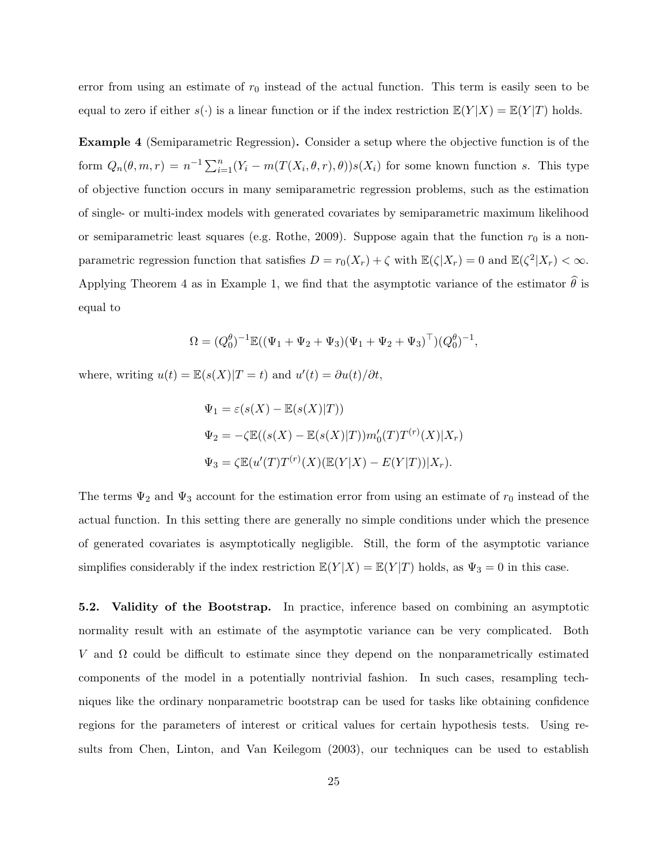error from using an estimate of  $r_0$  instead of the actual function. This term is easily seen to be equal to zero if either  $s(\cdot)$  is a linear function or if the index restriction  $\mathbb{E}(Y|X) = \mathbb{E}(Y|T)$  holds.

Example 4 (Semiparametric Regression). Consider a setup where the objective function is of the form  $Q_n(\theta, m, r) = n^{-1} \sum_{i=1}^n (Y_i - m(T(X_i, \theta, r), \theta)) s(X_i)$  for some known function s. This type of objective function occurs in many semiparametric regression problems, such as the estimation of single- or multi-index models with generated covariates by semiparametric maximum likelihood or semiparametric least squares (e.g. Rothe, 2009). Suppose again that the function  $r_0$  is a nonparametric regression function that satisfies  $D = r_0(X_r) + \zeta$  with  $\mathbb{E}(\zeta | X_r) = 0$  and  $\mathbb{E}(\zeta^2 | X_r) < \infty$ . Applying Theorem 4 as in Example 1, we find that the asymptotic variance of the estimator  $\hat{\theta}$  is equal to

$$
\Omega = (Q_0^{\theta})^{-1} \mathbb{E}((\Psi_1 + \Psi_2 + \Psi_3)(\Psi_1 + \Psi_2 + \Psi_3)^{\top})(Q_0^{\theta})^{-1},
$$

where, writing  $u(t) = \mathbb{E}(s(X)|T=t)$  and  $u'(t) = \partial u(t)/\partial t$ ,

$$
\Psi_1 = \varepsilon(s(X) - \mathbb{E}(s(X)|T))
$$
  
\n
$$
\Psi_2 = -\zeta \mathbb{E}((s(X) - \mathbb{E}(s(X)|T))m'_0(T)T^{(r)}(X)|X_r)
$$
  
\n
$$
\Psi_3 = \zeta \mathbb{E}(u'(T)T^{(r)}(X)(\mathbb{E}(Y|X) - E(Y|T))|X_r).
$$

The terms  $\Psi_2$  and  $\Psi_3$  account for the estimation error from using an estimate of  $r_0$  instead of the actual function. In this setting there are generally no simple conditions under which the presence of generated covariates is asymptotically negligible. Still, the form of the asymptotic variance simplifies considerably if the index restriction  $\mathbb{E}(Y|X) = \mathbb{E}(Y|T)$  holds, as  $\Psi_3 = 0$  in this case.

5.2. Validity of the Bootstrap. In practice, inference based on combining an asymptotic normality result with an estimate of the asymptotic variance can be very complicated. Both V and  $\Omega$  could be difficult to estimate since they depend on the nonparametrically estimated components of the model in a potentially nontrivial fashion. In such cases, resampling techniques like the ordinary nonparametric bootstrap can be used for tasks like obtaining confidence regions for the parameters of interest or critical values for certain hypothesis tests. Using results from Chen, Linton, and Van Keilegom (2003), our techniques can be used to establish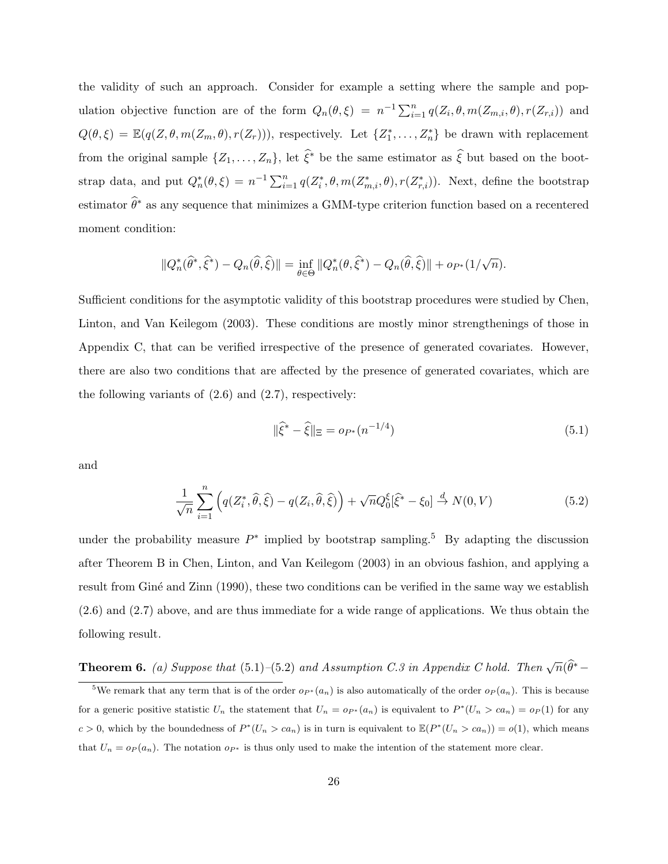the validity of such an approach. Consider for example a setting where the sample and population objective function are of the form  $Q_n(\theta, \xi) = n^{-1} \sum_{i=1}^n q(Z_i, \theta, m(Z_{m,i}, \theta), r(Z_{r,i}))$  and  $Q(\theta,\xi) = \mathbb{E}(q(Z,\theta,m(Z_m,\theta),r(Z_r))),$  respectively. Let  $\{Z_1^*,\ldots,Z_n^*\}$  be drawn with replacement from the original sample  $\{Z_1,\ldots,Z_n\}$ , let  $\hat{\xi}^*$  be the same estimator as  $\hat{\xi}$  but based on the bootstrap data, and put  $Q_n^*(\theta,\xi) = n^{-1} \sum_{i=1}^n q(Z_i^*,\theta,m(Z_{m,i}^*,\theta),r(Z_{r,i}^*))$ . Next, define the bootstrap estimator  $\widehat{\theta}^*$  as any sequence that minimizes a GMM-type criterion function based on a recentered moment condition:

$$
||Q_n^*(\widehat{\theta}^*,\widehat{\xi}^*) - Q_n(\widehat{\theta},\widehat{\xi})|| = \inf_{\theta \in \Theta} ||Q_n^*(\theta,\widehat{\xi}^*) - Q_n(\widehat{\theta},\widehat{\xi})|| + op_*(1/\sqrt{n}).
$$

Sufficient conditions for the asymptotic validity of this bootstrap procedures were studied by Chen, Linton, and Van Keilegom (2003). These conditions are mostly minor strengthenings of those in Appendix C, that can be verified irrespective of the presence of generated covariates. However, there are also two conditions that are affected by the presence of generated covariates, which are the following variants of  $(2.6)$  and  $(2.7)$ , respectively:

$$
\|\hat{\xi}^* - \hat{\xi}\|_{\Xi} = o_{P^*}(n^{-1/4})\tag{5.1}
$$

and

$$
\frac{1}{\sqrt{n}}\sum_{i=1}^{n}\left(q(Z_i^*,\hat{\theta},\hat{\xi})-q(Z_i,\hat{\theta},\hat{\xi})\right)+\sqrt{n}Q_0^{\xi}[\hat{\xi}^*-\xi_0]\stackrel{d}{\to}N(0,V)\tag{5.2}
$$

under the probability measure  $P^*$  implied by bootstrap sampling.<sup>5</sup> By adapting the discussion after Theorem B in Chen, Linton, and Van Keilegom (2003) in an obvious fashion, and applying a result from Giné and Zinn (1990), these two conditions can be verified in the same way we establish (2.6) and (2.7) above, and are thus immediate for a wide range of applications. We thus obtain the following result.

**Theorem 6.** (a) Suppose that  $(5.1)$ - $(5.2)$  and Assumption C.3 in Appendix C hold. Then  $\sqrt{n}(\widehat{\theta}^*)$ 

<sup>&</sup>lt;sup>5</sup>We remark that any term that is of the order  $o_{P^*}(a_n)$  is also automatically of the order  $o_P(a_n)$ . This is because for a generic positive statistic  $U_n$  the statement that  $U_n = o_{P^*}(a_n)$  is equivalent to  $P^*(U_n > ca_n) = o_P(1)$  for any  $c > 0$ , which by the boundedness of  $P^*(U_n > ca_n)$  is in turn is equivalent to  $\mathbb{E}(P^*(U_n > ca_n)) = o(1)$ , which means that  $U_n = o_P(a_n)$ . The notation  $o_{P^*}$  is thus only used to make the intention of the statement more clear.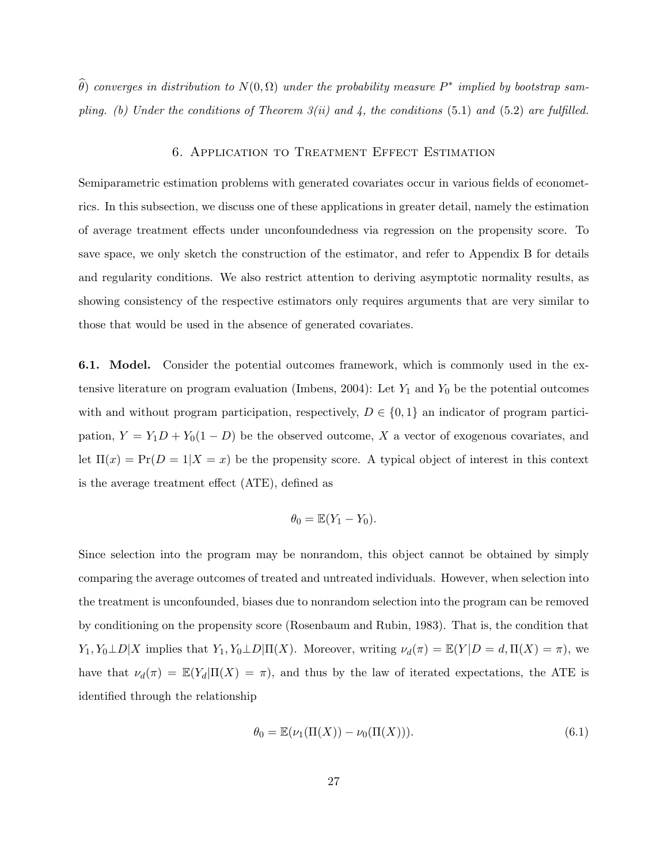$\widehat{\theta}$ ) converges in distribution to  $N(0,\Omega)$  under the probability measure  $P^*$  implied by bootstrap sampling. (b) Under the conditions of Theorem  $3(ii)$  and 4, the conditions (5.1) and (5.2) are fulfilled.

# 6. Application to Treatment Effect Estimation

Semiparametric estimation problems with generated covariates occur in various fields of econometrics. In this subsection, we discuss one of these applications in greater detail, namely the estimation of average treatment effects under unconfoundedness via regression on the propensity score. To save space, we only sketch the construction of the estimator, and refer to Appendix B for details and regularity conditions. We also restrict attention to deriving asymptotic normality results, as showing consistency of the respective estimators only requires arguments that are very similar to those that would be used in the absence of generated covariates.

6.1. Model. Consider the potential outcomes framework, which is commonly used in the extensive literature on program evaluation (Imbens, 2004): Let  $Y_1$  and  $Y_0$  be the potential outcomes with and without program participation, respectively,  $D \in \{0,1\}$  an indicator of program participation,  $Y = Y_1D + Y_0(1 - D)$  be the observed outcome, X a vector of exogenous covariates, and let  $\Pi(x) = \Pr(D = 1 | X = x)$  be the propensity score. A typical object of interest in this context is the average treatment effect (ATE), defined as

$$
\theta_0 = \mathbb{E}(Y_1 - Y_0).
$$

Since selection into the program may be nonrandom, this object cannot be obtained by simply comparing the average outcomes of treated and untreated individuals. However, when selection into the treatment is unconfounded, biases due to nonrandom selection into the program can be removed by conditioning on the propensity score (Rosenbaum and Rubin, 1983). That is, the condition that  $Y_1, Y_0 \perp D | X$  implies that  $Y_1, Y_0 \perp D | \Pi(X)$ . Moreover, writing  $\nu_d(\pi) = \mathbb{E}(Y | D = d, \Pi(X) = \pi)$ , we have that  $\nu_d(\pi) = \mathbb{E}(Y_d|\Pi(X) = \pi)$ , and thus by the law of iterated expectations, the ATE is identified through the relationship

$$
\theta_0 = \mathbb{E}(\nu_1(\Pi(X)) - \nu_0(\Pi(X))).
$$
\n(6.1)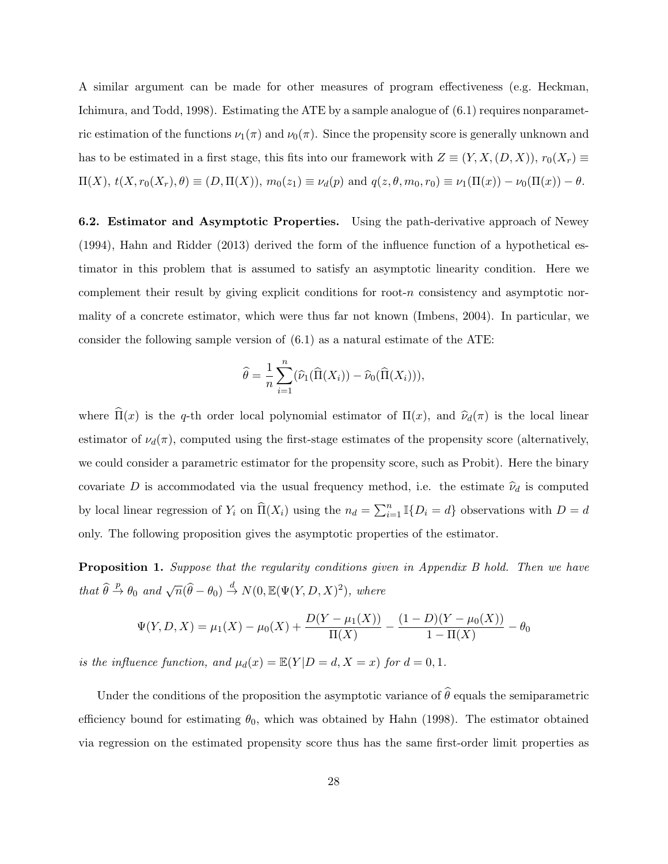A similar argument can be made for other measures of program effectiveness (e.g. Heckman, Ichimura, and Todd, 1998). Estimating the ATE by a sample analogue of (6.1) requires nonparametric estimation of the functions  $\nu_1(\pi)$  and  $\nu_0(\pi)$ . Since the propensity score is generally unknown and has to be estimated in a first stage, this fits into our framework with  $Z \equiv (Y, X, (D, X)), r_0(X_r) \equiv$  $\Pi(X)$ ,  $t(X, r_0(X_r), \theta) \equiv (D, \Pi(X)), m_0(z_1) \equiv \nu_d(p)$  and  $q(z, \theta, m_0, r_0) \equiv \nu_1(\Pi(x)) - \nu_0(\Pi(x)) - \theta$ .

6.2. Estimator and Asymptotic Properties. Using the path-derivative approach of Newey (1994), Hahn and Ridder (2013) derived the form of the influence function of a hypothetical estimator in this problem that is assumed to satisfy an asymptotic linearity condition. Here we complement their result by giving explicit conditions for root- $n$  consistency and asymptotic normality of a concrete estimator, which were thus far not known (Imbens, 2004). In particular, we consider the following sample version of  $(6.1)$  as a natural estimate of the ATE:

$$
\widehat{\theta} = \frac{1}{n} \sum_{i=1}^{n} (\widehat{\nu}_1(\widehat{\Pi}(X_i)) - \widehat{\nu}_0(\widehat{\Pi}(X_i))),
$$

where  $\widehat{\Pi}(x)$  is the q-th order local polynomial estimator of  $\Pi(x)$ , and  $\widehat{\nu}_d(\pi)$  is the local linear estimator of  $\nu_d(\pi)$ , computed using the first-stage estimates of the propensity score (alternatively, we could consider a parametric estimator for the propensity score, such as Probit). Here the binary covariate D is accommodated via the usual frequency method, i.e. the estimate  $\hat{\nu}_d$  is computed by local linear regression of  $Y_i$  on  $\widehat{\Pi}(X_i)$  using the  $n_d = \sum_{i=1}^n \mathbb{I}\{D_i = d\}$  observations with  $D = d$ only. The following proposition gives the asymptotic properties of the estimator.

Proposition 1. Suppose that the regularity conditions given in Appendix B hold. Then we have that  $\widehat{\theta} \stackrel{p}{\rightarrow} \theta_0$  and  $\sqrt{n}(\widehat{\theta}-\theta_0) \stackrel{d}{\rightarrow} N(0,\mathbb{E}(\Psi(Y,D,X)^2))$ , where

$$
\Psi(Y, D, X) = \mu_1(X) - \mu_0(X) + \frac{D(Y - \mu_1(X))}{\Pi(X)} - \frac{(1 - D)(Y - \mu_0(X))}{1 - \Pi(X)} - \theta_0
$$

is the influence function, and  $\mu_d(x) = \mathbb{E}(Y|D=d, X=x)$  for  $d=0,1$ .

Under the conditions of the proposition the asymptotic variance of  $\widehat{\theta}$  equals the semiparametric efficiency bound for estimating  $\theta_0$ , which was obtained by Hahn (1998). The estimator obtained via regression on the estimated propensity score thus has the same first-order limit properties as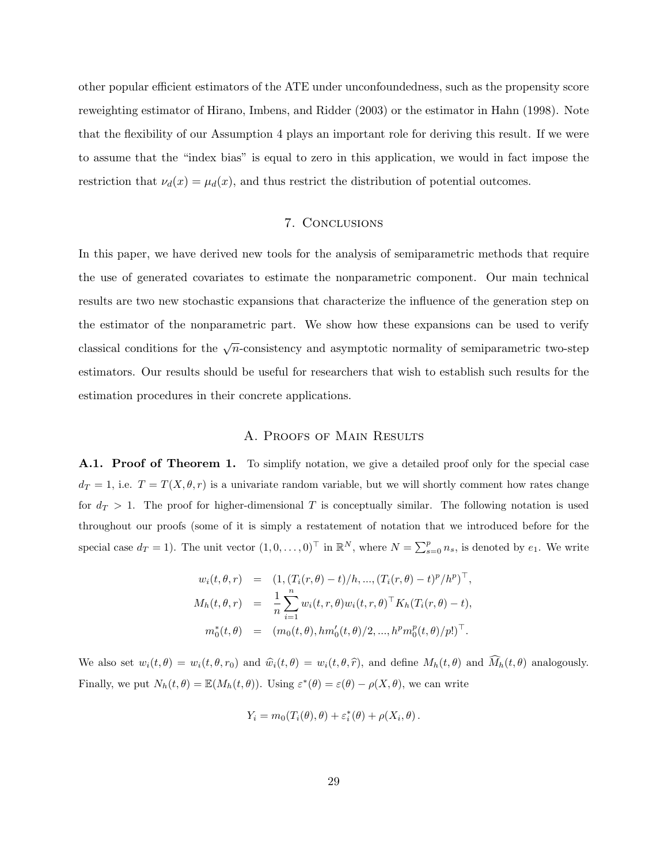other popular efficient estimators of the ATE under unconfoundedness, such as the propensity score reweighting estimator of Hirano, Imbens, and Ridder (2003) or the estimator in Hahn (1998). Note that the flexibility of our Assumption 4 plays an important role for deriving this result. If we were to assume that the "index bias" is equal to zero in this application, we would in fact impose the restriction that  $\nu_d(x) = \mu_d(x)$ , and thus restrict the distribution of potential outcomes.

# 7. Conclusions

In this paper, we have derived new tools for the analysis of semiparametric methods that require the use of generated covariates to estimate the nonparametric component. Our main technical results are two new stochastic expansions that characterize the influence of the generation step on the estimator of the nonparametric part. We show how these expansions can be used to verify classical conditions for the  $\sqrt{n}$ -consistency and asymptotic normality of semiparametric two-step estimators. Our results should be useful for researchers that wish to establish such results for the estimation procedures in their concrete applications.

### A. PROOFS OF MAIN RESULTS

A.1. Proof of Theorem 1. To simplify notation, we give a detailed proof only for the special case  $d_T = 1$ , i.e.  $T = T(X, \theta, r)$  is a univariate random variable, but we will shortly comment how rates change for  $d_T > 1$ . The proof for higher-dimensional T is conceptually similar. The following notation is used throughout our proofs (some of it is simply a restatement of notation that we introduced before for the special case  $d_T = 1$ ). The unit vector  $(1, 0, \ldots, 0)^\top$  in  $\mathbb{R}^N$ , where  $N = \sum_{s=0}^p n_s$ , is denoted by  $e_1$ . We write

$$
w_i(t, \theta, r) = (1, (T_i(r, \theta) - t)/h, ..., (T_i(r, \theta) - t)^p/h^p)^\top,
$$
  
\n
$$
M_h(t, \theta, r) = \frac{1}{n} \sum_{i=1}^n w_i(t, r, \theta) w_i(t, r, \theta)^\top K_h(T_i(r, \theta) - t),
$$
  
\n
$$
m_0^*(t, \theta) = (m_0(t, \theta), hm'_0(t, \theta)/2, ..., h^p m_0^p(t, \theta)/p!)^\top.
$$

We also set  $w_i(t, \theta) = w_i(t, \theta, r_0)$  and  $\hat{w}_i(t, \theta) = w_i(t, \theta, \hat{r})$ , and define  $M_h(t, \theta)$  and  $\hat{M}_h(t, \theta)$  analogously. Finally, we put  $N_h(t, \theta) = \mathbb{E}(M_h(t, \theta))$ . Using  $\varepsilon^*(\theta) = \varepsilon(\theta) - \rho(X, \theta)$ , we can write

$$
Y_i = m_0(T_i(\theta), \theta) + \varepsilon_i^*(\theta) + \rho(X_i, \theta).
$$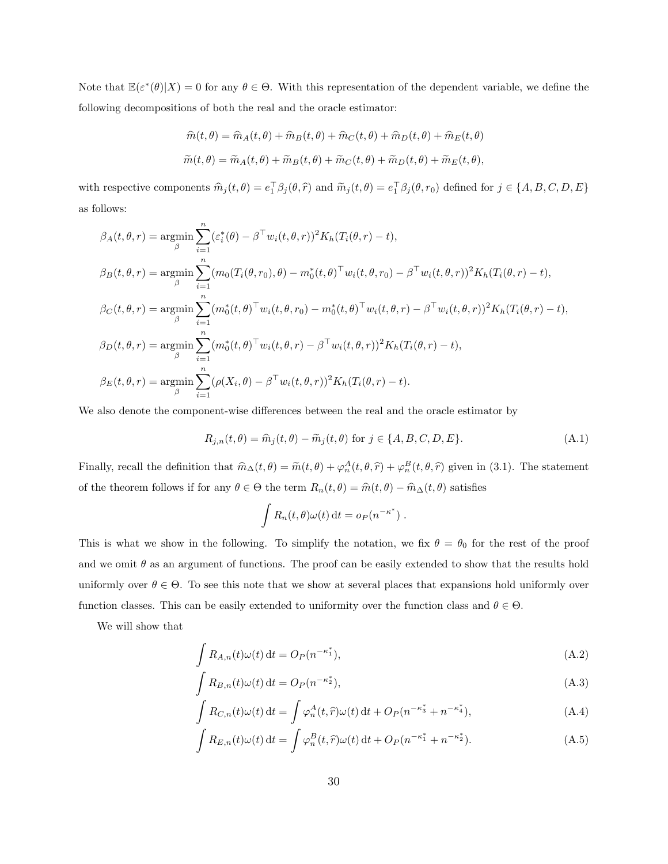Note that  $\mathbb{E}(\varepsilon^*(\theta)|X) = 0$  for any  $\theta \in \Theta$ . With this representation of the dependent variable, we define the following decompositions of both the real and the oracle estimator:

$$
\hat{m}(t,\theta) = \hat{m}_A(t,\theta) + \hat{m}_B(t,\theta) + \hat{m}_C(t,\theta) + \hat{m}_D(t,\theta) + \hat{m}_E(t,\theta)
$$
  

$$
\tilde{m}(t,\theta) = \tilde{m}_A(t,\theta) + \tilde{m}_B(t,\theta) + \tilde{m}_C(t,\theta) + \tilde{m}_D(t,\theta) + \tilde{m}_E(t,\theta),
$$

with respective components  $\widehat{m}_j(t, \theta) = e_1^{\top} \beta_j(\theta, \widehat{r})$  and  $\widetilde{m}_j(t, \theta) = e_1^{\top} \beta_j(\theta, r_0)$  defined for  $j \in \{A, B, C, D, E\}$ as follows:

$$
\beta_A(t,\theta,r) = \underset{\beta}{\operatorname{argmin}} \sum_{i=1}^n (\varepsilon_i^*(\theta) - \beta^{\top} w_i(t,\theta,r))^2 K_h(T_i(\theta,r) - t),
$$
  
\n
$$
\beta_B(t,\theta,r) = \underset{\beta}{\operatorname{argmin}} \sum_{i=1}^n (m_0(T_i(\theta,r_0),\theta) - m_0^*(t,\theta)^{\top} w_i(t,\theta,r_0) - \beta^{\top} w_i(t,\theta,r))^2 K_h(T_i(\theta,r) - t),
$$
  
\n
$$
\beta_C(t,\theta,r) = \underset{\beta}{\operatorname{argmin}} \sum_{i=1}^n (m_0^*(t,\theta)^{\top} w_i(t,\theta,r_0) - m_0^*(t,\theta)^{\top} w_i(t,\theta,r) - \beta^{\top} w_i(t,\theta,r))^2 K_h(T_i(\theta,r) - t),
$$
  
\n
$$
\beta_D(t,\theta,r) = \underset{\beta}{\operatorname{argmin}} \sum_{i=1}^n (m_0^*(t,\theta)^{\top} w_i(t,\theta,r) - \beta^{\top} w_i(t,\theta,r))^2 K_h(T_i(\theta,r) - t),
$$
  
\n
$$
\beta_E(t,\theta,r) = \underset{\beta}{\operatorname{argmin}} \sum_{i=1}^n (\rho(X_i,\theta) - \beta^{\top} w_i(t,\theta,r))^2 K_h(T_i(\theta,r) - t).
$$

We also denote the component-wise differences between the real and the oracle estimator by

$$
R_{j,n}(t,\theta) = \widehat{m}_j(t,\theta) - \widetilde{m}_j(t,\theta) \text{ for } j \in \{A, B, C, D, E\}. \tag{A.1}
$$

Finally, recall the definition that  $\widehat{m}_{\Delta}(t, \theta) = \widetilde{m}(t, \theta) + \varphi_n^A(t, \theta, \widehat{r}) + \varphi_n^B(t, \theta, \widehat{r})$  given in (3.1). The statement of the theorem follows if for any  $\theta \in \Theta$  the term  $R_n(t, \theta) = \hat{m}(t, \theta) - \hat{m}_{\Delta}(t, \theta)$  satisfies

$$
\int R_n(t,\theta)\omega(t) dt = o_P(n^{-\kappa^*}).
$$

This is what we show in the following. To simplify the notation, we fix  $\theta = \theta_0$  for the rest of the proof and we omit  $\theta$  as an argument of functions. The proof can be easily extended to show that the results hold uniformly over  $\theta \in \Theta$ . To see this note that we show at several places that expansions hold uniformly over function classes. This can be easily extended to uniformity over the function class and  $\theta \in \Theta$ .

We will show that

$$
\int R_{A,n}(t)\omega(t) dt = O_P(n^{-\kappa_1^*}),
$$
\n(A.2)

$$
\int R_{B,n}(t)\omega(t) dt = O_P(n^{-\kappa_2^*}),
$$
\n(A.3)

$$
\int R_{C,n}(t)\omega(t) dt = \int \varphi_n^A(t,\hat{r})\omega(t) dt + O_P(n^{-\kappa_3^*} + n^{-\kappa_4^*}),
$$
\n(A.4)

$$
\int R_{E,n}(t)\omega(t) dt = \int \varphi_n^B(t,\hat{r})\omega(t) dt + O_P(n^{-\kappa_1^*} + n^{-\kappa_2^*}).
$$
\n(A.5)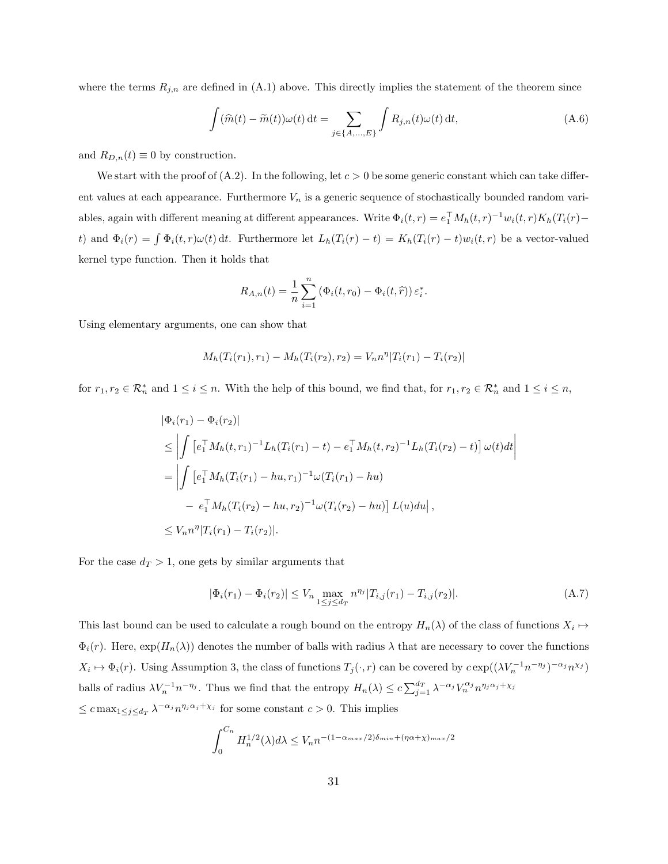where the terms  $R_{j,n}$  are defined in  $(A.1)$  above. This directly implies the statement of the theorem since

$$
\int (\widehat{m}(t) - \widetilde{m}(t))\omega(t) dt = \sum_{j \in \{A, ..., E\}} \int R_{j,n}(t)\omega(t) dt,
$$
\n(A.6)

and  $R_{D,n}(t) \equiv 0$  by construction.

We start with the proof of  $(A.2)$ . In the following, let  $c > 0$  be some generic constant which can take different values at each appearance. Furthermore  $V_n$  is a generic sequence of stochastically bounded random variables, again with different meaning at different appearances. Write  $\Phi_i(t,r) = e_1^{\top} M_h(t,r)^{-1} w_i(t,r) K_h(T_i(r)$ t) and  $\Phi_i(r) = \int \Phi_i(t, r) \omega(t) dt$ . Furthermore let  $L_h(T_i(r) - t) = K_h(T_i(r) - t) w_i(t, r)$  be a vector-valued kernel type function. Then it holds that

$$
R_{A,n}(t) = \frac{1}{n} \sum_{i=1}^{n} \left( \Phi_i(t, r_0) - \Phi_i(t, \hat{r}) \right) \varepsilon_i^*.
$$

Using elementary arguments, one can show that

$$
M_h(T_i(r_1), r_1) - M_h(T_i(r_2), r_2) = V_n n^{\eta} |T_i(r_1) - T_i(r_2)|
$$

for  $r_1, r_2 \in \mathcal{R}_n^*$  and  $1 \leq i \leq n$ . With the help of this bound, we find that, for  $r_1, r_2 \in \mathcal{R}_n^*$  and  $1 \leq i \leq n$ ,

$$
\begin{aligned} |\Phi_i(r_1) - \Phi_i(r_2)| \\ &\leq \left| \int \left[ e_1^\top M_h(t, r_1)^{-1} L_h(T_i(r_1) - t) - e_1^\top M_h(t, r_2)^{-1} L_h(T_i(r_2) - t) \right] \omega(t) dt \right| \\ &= \left| \int \left[ e_1^\top M_h(T_i(r_1) - hu, r_1)^{-1} \omega(T_i(r_1) - hu) \right. \\ &\left. - e_1^\top M_h(T_i(r_2) - hu, r_2)^{-1} \omega(T_i(r_2) - hu) \right] L(u) du \right|, \\ &\leq V_n n^\eta |T_i(r_1) - T_i(r_2)|. \end{aligned}
$$

For the case  $d_T > 1$ , one gets by similar arguments that

$$
|\Phi_i(r_1) - \Phi_i(r_2)| \le V_n \max_{1 \le j \le d_T} n^{\eta_j} |T_{i,j}(r_1) - T_{i,j}(r_2)|. \tag{A.7}
$$

This last bound can be used to calculate a rough bound on the entropy  $H_n(\lambda)$  of the class of functions  $X_i \mapsto$  $\Phi_i(r)$ . Here,  $\exp(H_n(\lambda))$  denotes the number of balls with radius  $\lambda$  that are necessary to cover the functions  $X_i \mapsto \Phi_i(r)$ . Using Assumption 3, the class of functions  $T_j(\cdot, r)$  can be covered by  $c \exp((\lambda V_n^{-1} n^{-\eta_j})^{-\alpha_j} n^{\chi_j})$ balls of radius  $\lambda V_n^{-1} n^{-\eta_j}$ . Thus we find that the entropy  $H_n(\lambda) \leq c \sum_{j=1}^{d_T} \lambda^{-\alpha_j} V_n^{\alpha_j} n^{\eta_j \alpha_j + \chi_j}$  $\leq c \max_{1 \leq j \leq d_T} \lambda^{-\alpha_j} n^{\eta_j \alpha_j + \chi_j}$  for some constant  $c > 0$ . This implies

$$
\int_0^{C_n} H_n^{1/2}(\lambda) d\lambda \le V_n n^{-(1-\alpha_{max}/2)\delta_{min} + (\eta \alpha + \chi)_{max}/2}
$$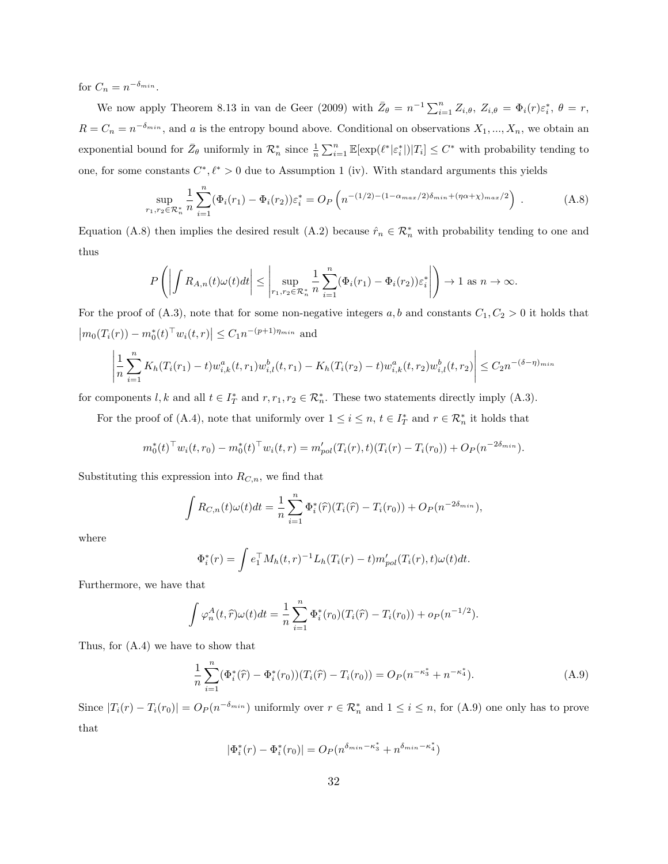for  $C_n = n^{-\delta_{min}}$ .

We now apply Theorem 8.13 in van de Geer (2009) with  $\bar{Z}_{\theta} = n^{-1} \sum_{i=1}^{n} Z_{i,\theta}$ ,  $Z_{i,\theta} = \Phi_i(r) \varepsilon_i^*$ ,  $\theta = r$ ,  $R = C_n = n^{-\delta_{min}}$ , and a is the entropy bound above. Conditional on observations  $X_1, ..., X_n$ , we obtain an exponential bound for  $\bar{Z}_{\theta}$  uniformly in  $\mathcal{R}_n^*$  since  $\frac{1}{n} \sum_{i=1}^n \mathbb{E}[\exp(\ell^*|\varepsilon_i^*|)|T_i] \leq C^*$  with probability tending to one, for some constants  $C^*, \ell^* > 0$  due to Assumption 1 (iv). With standard arguments this yields

$$
\sup_{r_1, r_2 \in \mathcal{R}_n^*} \frac{1}{n} \sum_{i=1}^n (\Phi_i(r_1) - \Phi_i(r_2)) \varepsilon_i^* = O_P\left(n^{-(1/2) - (1 - \alpha_{max}/2)\delta_{min} + (\eta \alpha + \chi)_{max}/2}\right).
$$
 (A.8)

Equation (A.8) then implies the desired result (A.2) because  $\hat{r}_n \in \mathcal{R}_n^*$  with probability tending to one and thus

$$
P\left(\left|\int R_{A,n}(t)\omega(t)dt\right| \leq \left|\sup_{r_1,r_2\in\mathcal{R}_n^*} \frac{1}{n} \sum_{i=1}^n (\Phi_i(r_1) - \Phi_i(r_2))\varepsilon_i^*\right|\right) \to 1 \text{ as } n \to \infty.
$$

For the proof of (A.3), note that for some non-negative integers a, b and constants  $C_1, C_2 > 0$  it holds that  $|m_0(T_i(r)) - m_0^*(t)^\top w_i(t,r)| \leq C_1 n^{-(p+1)\eta_{min}}$  and

$$
\left| \frac{1}{n} \sum_{i=1}^{n} K_h(T_i(r_1) - t) w_{i,k}^a(t, r_1) w_{i,l}^b(t, r_1) - K_h(T_i(r_2) - t) w_{i,k}^a(t, r_2) w_{i,l}^b(t, r_2) \right| \leq C_2 n^{-(\delta - \eta)_{min}}
$$

for components  $l, k$  and all  $t \in I_T^*$  and  $r, r_1, r_2 \in \mathcal{R}_n^*$ . These two statements directly imply (A.3).

For the proof of (A.4), note that uniformly over  $1 \leq i \leq n$ ,  $t \in I_T^*$  and  $r \in \mathcal{R}_n^*$  it holds that

$$
m_0^*(t)^\top w_i(t, r_0) - m_0^*(t)^\top w_i(t, r) = m_{pol}'(T_i(r), t)(T_i(r) - T_i(r_0)) + O_P(n^{-2\delta_{min}}).
$$

Substituting this expression into  $R_{C,n}$ , we find that

$$
\int R_{C,n}(t)\omega(t)dt = \frac{1}{n}\sum_{i=1}^{n} \Phi_i^*(\hat{r})(T_i(\hat{r}) - T_i(r_0)) + O_P(n^{-2\delta_{min}}),
$$

where

$$
\Phi_i^*(r) = \int e_1^\top M_h(t, r)^{-1} L_h(T_i(r) - t) m'_{pol}(T_i(r), t) \omega(t) dt.
$$

Furthermore, we have that

$$
\int \varphi_n^A(t,\hat{r})\omega(t)dt = \frac{1}{n}\sum_{i=1}^n \Phi_i^*(r_0)(T_i(\hat{r}) - T_i(r_0)) + o_P(n^{-1/2}).
$$

Thus, for (A.4) we have to show that

$$
\frac{1}{n}\sum_{i=1}^{n} (\Phi_i^*(\hat{r}) - \Phi_i^*(r_0)) (T_i(\hat{r}) - T_i(r_0)) = O_P(n^{-\kappa_3^*} + n^{-\kappa_4^*}).
$$
\n(A.9)

Since  $|T_i(r) - T_i(r_0)| = O_P(n^{-\delta_{min}})$  uniformly over  $r \in \mathcal{R}_n^*$  and  $1 \le i \le n$ , for (A.9) one only has to prove that

$$
|\Phi_i^*(r) - \Phi_i^*(r_0)| = O_P(n^{\delta_{min} - \kappa_3^*} + n^{\delta_{min} - \kappa_4^*})
$$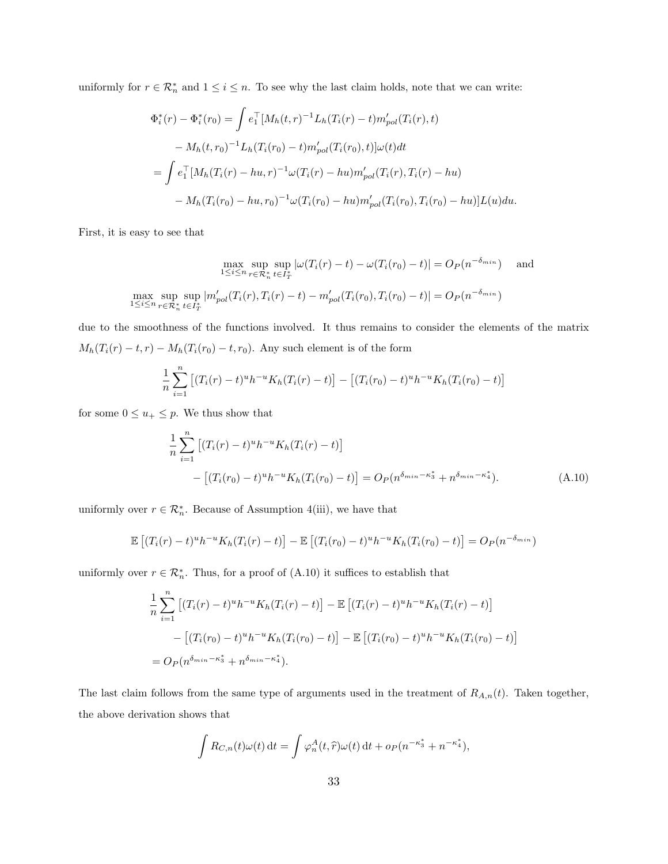uniformly for  $r \in \mathcal{R}_n^*$  and  $1 \leq i \leq n$ . To see why the last claim holds, note that we can write:

$$
\Phi_i^*(r) - \Phi_i^*(r_0) = \int e_1^\top [M_h(t, r)^{-1} L_h(T_i(r) - t) m'_{pol}(T_i(r), t) \n- M_h(t, r_0)^{-1} L_h(T_i(r_0) - t) m'_{pol}(T_i(r_0), t)] \omega(t) dt \n= \int e_1^\top [M_h(T_i(r) - hu, r)^{-1} \omega(T_i(r) - hu) m'_{pol}(T_i(r), T_i(r) - hu) \n- M_h(T_i(r_0) - hu, r_0)^{-1} \omega(T_i(r_0) - hu) m'_{pol}(T_i(r_0), T_i(r_0) - hu)] L(u) du.
$$

First, it is easy to see that

$$
\max_{1 \le i \le n} \sup_{r \in \mathcal{R}_n^*} \sup_{t \in I_T^*} |\omega(T_i(r) - t) - \omega(T_i(r_0) - t)| = O_P(n^{-\delta_{min}}) \quad \text{and}
$$
  

$$
\max_{1 \le i \le n} \sup_{r \in \mathcal{R}_n^*} \sup_{t \in I_T^*} |m'_{pol}(T_i(r), T_i(r) - t) - m'_{pol}(T_i(r_0), T_i(r_0) - t)| = O_P(n^{-\delta_{min}})
$$

due to the smoothness of the functions involved. It thus remains to consider the elements of the matrix  $M_h(T_i(r) - t, r) - M_h(T_i(r_0) - t, r_0)$ . Any such element is of the form

$$
\frac{1}{n}\sum_{i=1}^{n} \left[ (T_i(r) - t)^u h^{-u} K_h(T_i(r) - t) \right] - \left[ (T_i(r_0) - t)^u h^{-u} K_h(T_i(r_0) - t) \right]
$$

for some  $0\leq u_+\leq p.$  We thus show that

$$
\frac{1}{n} \sum_{i=1}^{n} \left[ (T_i(r) - t)^u h^{-u} K_h(T_i(r) - t) \right]
$$
  
 
$$
- \left[ (T_i(r_0) - t)^u h^{-u} K_h(T_i(r_0) - t) \right] = O_P(n^{\delta_{min} - \kappa_3^*} + n^{\delta_{min} - \kappa_4^*}).
$$
 (A.10)

uniformly over  $r \in \mathcal{R}_n^*$ . Because of Assumption 4(iii), we have that

$$
\mathbb{E}\left[ (T_i(r) - t)^u h^{-u} K_h(T_i(r) - t) \right] - \mathbb{E}\left[ (T_i(r_0) - t)^u h^{-u} K_h(T_i(r_0) - t) \right] = O_P(n^{-\delta_{min}})
$$

uniformly over  $r \in \mathcal{R}_n^*$ . Thus, for a proof of  $(A.10)$  it suffices to establish that

$$
\frac{1}{n} \sum_{i=1}^{n} \left[ (T_i(r) - t)^u h^{-u} K_h(T_i(r) - t) \right] - \mathbb{E} \left[ (T_i(r) - t)^u h^{-u} K_h(T_i(r) - t) \right]
$$

$$
- \left[ (T_i(r_0) - t)^u h^{-u} K_h(T_i(r_0) - t) \right] - \mathbb{E} \left[ (T_i(r_0) - t)^u h^{-u} K_h(T_i(r_0) - t) \right]
$$

$$
= O_P(n^{\delta_{min} - \kappa_3^*} + n^{\delta_{min} - \kappa_4^*}).
$$

The last claim follows from the same type of arguments used in the treatment of  $R_{A,n}(t)$ . Taken together, the above derivation shows that

$$
\int R_{C,n}(t)\omega(t) dt = \int \varphi_n^A(t,\widehat{r})\omega(t) dt + o_P(n^{-\kappa_3^*} + n^{-\kappa_4^*}),
$$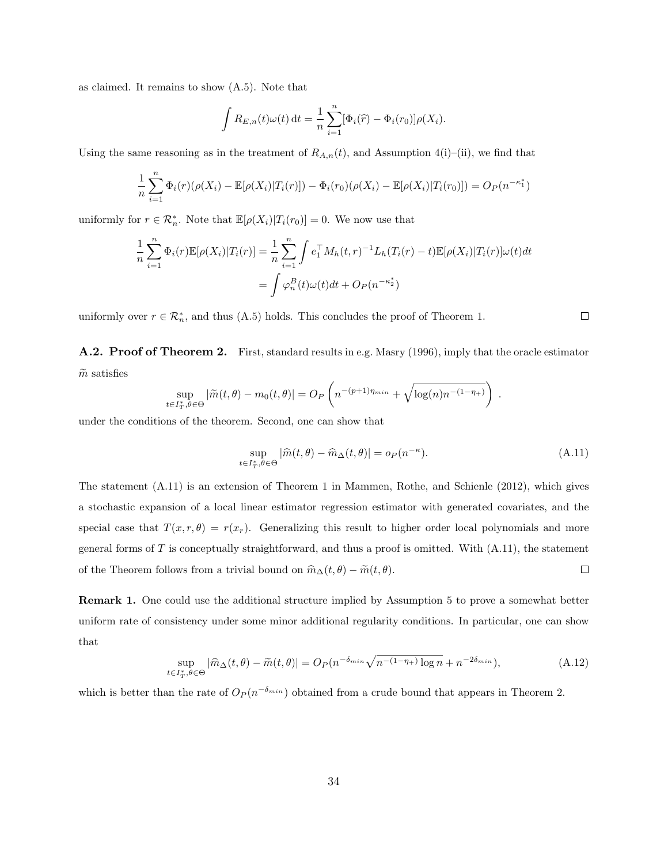as claimed. It remains to show (A.5). Note that

$$
\int R_{E,n}(t)\omega(t) dt = \frac{1}{n}\sum_{i=1}^{n} [\Phi_i(\widehat{r}) - \Phi_i(r_0)]\rho(X_i).
$$

Using the same reasoning as in the treatment of  $R_{A,n}(t)$ , and Assumption 4(i)–(ii), we find that

$$
\frac{1}{n}\sum_{i=1}^{n}\Phi_i(r)(\rho(X_i) - \mathbb{E}[\rho(X_i)|T_i(r)]) - \Phi_i(r_0)(\rho(X_i) - \mathbb{E}[\rho(X_i)|T_i(r_0)]) = O_P(n^{-\kappa_1^*})
$$

uniformly for  $r \in \mathcal{R}_n^*$ . Note that  $\mathbb{E}[\rho(X_i)|T_i(r_0)] = 0$ . We now use that

$$
\frac{1}{n}\sum_{i=1}^{n}\Phi_i(r)\mathbb{E}[\rho(X_i)|T_i(r)] = \frac{1}{n}\sum_{i=1}^{n}\int e_1^{\top}M_h(t,r)^{-1}L_h(T_i(r) - t)\mathbb{E}[\rho(X_i)|T_i(r)]\omega(t)dt
$$

$$
= \int \varphi_n^B(t)\omega(t)dt + O_P(n^{-\kappa_2^*})
$$

uniformly over  $r \in \mathcal{R}_n^*$ , and thus (A.5) holds. This concludes the proof of Theorem 1.

A.2. Proof of Theorem 2. First, standard results in e.g. Masry (1996), imply that the oracle estimator  $\widetilde{m}$  satisfies

$$
\sup_{t \in I_T^*, \theta \in \Theta} |\widetilde{m}(t,\theta) - m_0(t,\theta)| = O_P\left(n^{-(p+1)\eta_{min}} + \sqrt{\log(n)n^{-(1-\eta_{+})}}\right)
$$

under the conditions of the theorem. Second, one can show that

$$
\sup_{t \in I_T^*, \theta \in \Theta} |\widehat{m}(t, \theta) - \widehat{m}_{\Delta}(t, \theta)| = o_P(n^{-\kappa}).
$$
\n(A.11)

The statement (A.11) is an extension of Theorem 1 in Mammen, Rothe, and Schienle (2012), which gives a stochastic expansion of a local linear estimator regression estimator with generated covariates, and the special case that  $T(x, r, \theta) = r(x_r)$ . Generalizing this result to higher order local polynomials and more general forms of  $T$  is conceptually straightforward, and thus a proof is omitted. With  $(A.11)$ , the statement  $\Box$ of the Theorem follows from a trivial bound on  $\widehat{m}_{\Delta}(t, \theta) - \widetilde{m}(t, \theta)$ .

Remark 1. One could use the additional structure implied by Assumption 5 to prove a somewhat better uniform rate of consistency under some minor additional regularity conditions. In particular, one can show that

$$
\sup_{t \in I_T^*, \theta \in \Theta} |\widehat{m}_{\Delta}(t, \theta) - \widetilde{m}(t, \theta)| = O_P(n^{-\delta_{min}} \sqrt{n^{-(1-\eta_+)} \log n} + n^{-2\delta_{min}}),
$$
\n(A.12)

which is better than the rate of  $O_P(n^{-\delta_{min}})$  obtained from a crude bound that appears in Theorem 2.

 $\Box$ 

.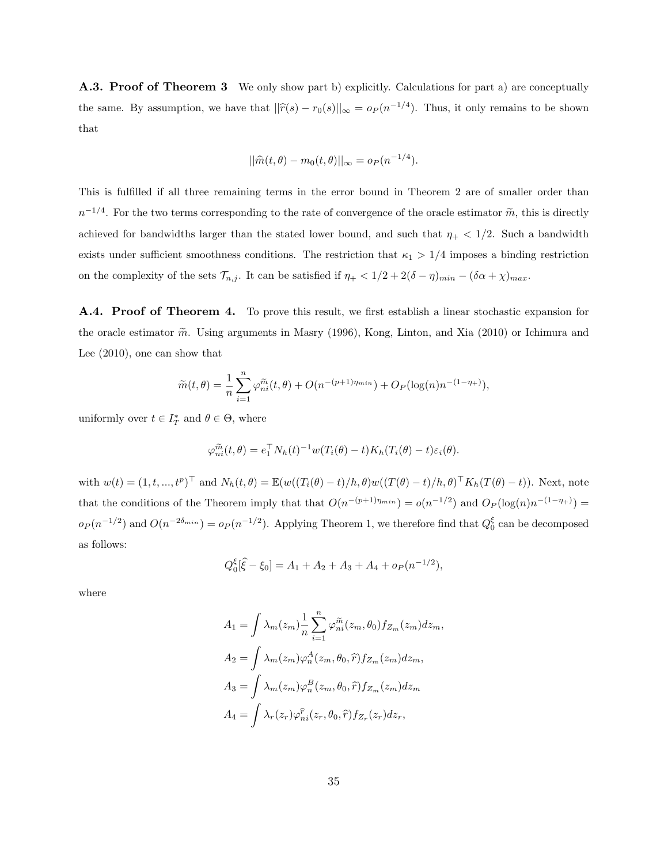**A.3. Proof of Theorem 3** We only show part b) explicitly. Calculations for part a) are conceptually the same. By assumption, we have that  $||\hat{r}(s) - r_0(s)||_{\infty} = o_P (n^{-1/4})$ . Thus, it only remains to be shown that

$$
||\widehat{m}(t,\theta) - m_0(t,\theta)||_{\infty} = o_P(n^{-1/4}).
$$

This is fulfilled if all three remaining terms in the error bound in Theorem 2 are of smaller order than  $n^{-1/4}$ . For the two terms corresponding to the rate of convergence of the oracle estimator  $\tilde{m}$ , this is directly achieved for bandwidths larger than the stated lower bound, and such that  $\eta_+ < 1/2$ . Such a bandwidth exists under sufficient smoothness conditions. The restriction that  $\kappa_1 > 1/4$  imposes a binding restriction on the complexity of the sets  $\mathcal{T}_{n,j}$ . It can be satisfied if  $\eta_+ < 1/2 + 2(\delta - \eta)_{min} - (\delta \alpha + \chi)_{max}$ .

A.4. Proof of Theorem 4. To prove this result, we first establish a linear stochastic expansion for the oracle estimator  $\tilde{m}$ . Using arguments in Masry (1996), Kong, Linton, and Xia (2010) or Ichimura and Lee (2010), one can show that

$$
\widetilde{m}(t,\theta) = \frac{1}{n} \sum_{i=1}^{n} \varphi_{ni}^{\widetilde{m}}(t,\theta) + O(n^{-(p+1)\eta_{min}}) + O_P(\log(n)n^{-(1-\eta_{+})}),
$$

uniformly over  $t \in I_T^*$  and  $\theta \in \Theta$ , where

$$
\varphi_{ni}^{\widetilde{m}}(t,\theta) = e_1^{\top} N_h(t)^{-1} w(T_i(\theta) - t) K_h(T_i(\theta) - t) \varepsilon_i(\theta).
$$

with  $w(t) = (1, t, ..., t^p)^\top$  and  $N_h(t, \theta) = \mathbb{E}(w((T_i(\theta) - t)/h, \theta)w((T(\theta) - t)/h, \theta)^\top K_h(T(\theta) - t)).$  Next, note that the conditions of the Theorem imply that that  $O(n^{-(p+1)\eta_{min}}) = o(n^{-1/2})$  and  $O_P(\log(n)n^{-(1-\eta_+)}) =$  $o_P(n^{-1/2})$  and  $O(n^{-2\delta_{min}}) = o_P(n^{-1/2})$ . Applying Theorem 1, we therefore find that  $Q_0^{\xi}$  can be decomposed as follows:

$$
Q_0^{\xi}[\hat{\xi} - \xi_0] = A_1 + A_2 + A_3 + A_4 + o_P(n^{-1/2}),
$$

where

$$
A_1 = \int \lambda_m(z_m) \frac{1}{n} \sum_{i=1}^n \varphi_{ni}^{\tilde{m}}(z_m, \theta_0) f_{Z_m}(z_m) dz_m,
$$
  
\n
$$
A_2 = \int \lambda_m(z_m) \varphi_n^A(z_m, \theta_0, \hat{r}) f_{Z_m}(z_m) dz_m,
$$
  
\n
$$
A_3 = \int \lambda_m(z_m) \varphi_n^B(z_m, \theta_0, \hat{r}) f_{Z_m}(z_m) dz_m
$$
  
\n
$$
A_4 = \int \lambda_r(z_r) \varphi_{ni}^{\tilde{r}}(z_r, \theta_0, \hat{r}) f_{Z_r}(z_r) dz_r,
$$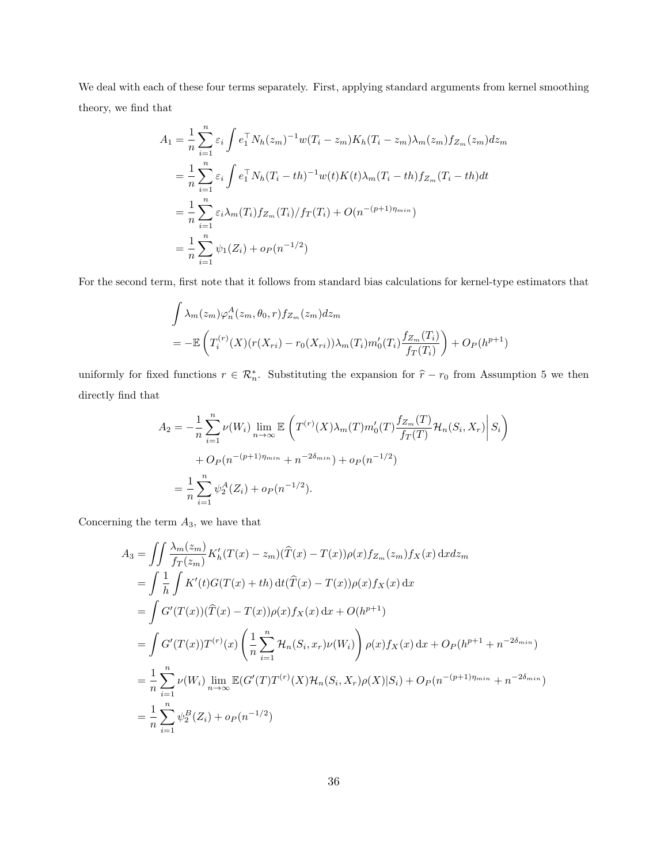We deal with each of these four terms separately. First, applying standard arguments from kernel smoothing theory, we find that

$$
A_1 = \frac{1}{n} \sum_{i=1}^n \varepsilon_i \int e_1^\top N_h(z_m)^{-1} w(T_i - z_m) K_h(T_i - z_m) \lambda_m(z_m) f_{Z_m}(z_m) dz_m
$$
  
\n
$$
= \frac{1}{n} \sum_{i=1}^n \varepsilon_i \int e_1^\top N_h(T_i - th)^{-1} w(t) K(t) \lambda_m(T_i - th) f_{Z_m}(T_i - th) dt
$$
  
\n
$$
= \frac{1}{n} \sum_{i=1}^n \varepsilon_i \lambda_m(T_i) f_{Z_m}(T_i) / f_T(T_i) + O(n^{-(p+1)\eta_{min}})
$$
  
\n
$$
= \frac{1}{n} \sum_{i=1}^n \psi_1(Z_i) + o_P(n^{-1/2})
$$

For the second term, first note that it follows from standard bias calculations for kernel-type estimators that

$$
\int \lambda_m(z_m)\varphi_n^A(z_m,\theta_0,r) f_{Z_m}(z_m) dz_m
$$
\n
$$
= -\mathbb{E}\left(T_i^{(r)}(X)(r(X_{ri}) - r_0(X_{ri}))\lambda_m(T_i)m_0'(T_i)\frac{f_{Z_m}(T_i)}{f_T(T_i)}\right) + O_P(h^{p+1})
$$

uniformly for fixed functions  $r \in \mathcal{R}_n^*$ . Substituting the expansion for  $\hat{r} - r_0$  from Assumption 5 we then directly find that

$$
A_2 = -\frac{1}{n} \sum_{i=1}^n \nu(W_i) \lim_{n \to \infty} \mathbb{E}\left(T^{(r)}(X)\lambda_m(T)m_0'(T)\frac{f_{Z_m}(T)}{f_T(T)}\mathcal{H}_n(S_i, X_r)\middle| S_i\right)
$$
  
+  $O_P(n^{-(p+1)\eta_{min}} + n^{-2\delta_{min}}) + o_P(n^{-1/2})$   
=  $\frac{1}{n} \sum_{i=1}^n \psi_2^A(Z_i) + o_P(n^{-1/2}).$ 

Concerning the term  $A_3$ , we have that

$$
A_3 = \iint \frac{\lambda_m(z_m)}{f_T(z_m)} K'_h(T(x) - z_m)(\widehat{T}(x) - T(x))\rho(x) f_{Z_m}(z_m) f_X(x) \, dx dx_m
$$
  
\n
$$
= \int \frac{1}{h} \int K'(t)G(T(x) + th) \, dt(\widehat{T}(x) - T(x))\rho(x) f_X(x) \, dx
$$
  
\n
$$
= \int G'(T(x))(\widehat{T}(x) - T(x))\rho(x) f_X(x) \, dx + O(h^{p+1})
$$
  
\n
$$
= \int G'(T(x))T^{(r)}(x) \left(\frac{1}{n} \sum_{i=1}^n \mathcal{H}_n(S_i, x_r) \nu(W_i)\right) \rho(x) f_X(x) \, dx + O_P(h^{p+1} + n^{-2\delta_{min}})
$$
  
\n
$$
= \frac{1}{n} \sum_{i=1}^n \nu(W_i) \lim_{n \to \infty} \mathbb{E}(G'(T)T^{(r)}(X)\mathcal{H}_n(S_i, X_r)\rho(X)|S_i) + O_P(n^{-(p+1)\eta_{min}} + n^{-2\delta_{min}})
$$
  
\n
$$
= \frac{1}{n} \sum_{i=1}^n \psi_B^B(Z_i) + o_P(n^{-1/2})
$$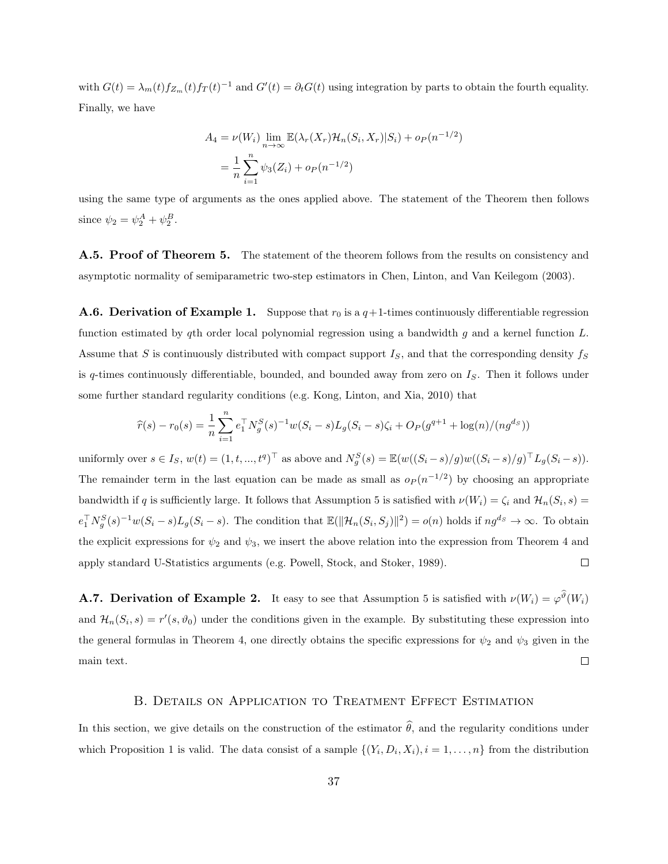with  $G(t) = \lambda_m(t) f_{Z_m}(t) f_T(t)^{-1}$  and  $G'(t) = \partial_t G(t)$  using integration by parts to obtain the fourth equality. Finally, we have

$$
A_4 = \nu(W_i) \lim_{n \to \infty} \mathbb{E}(\lambda_r(X_r) \mathcal{H}_n(S_i, X_r) | S_i) + o_P(n^{-1/2})
$$
  
= 
$$
\frac{1}{n} \sum_{i=1}^n \psi_3(Z_i) + o_P(n^{-1/2})
$$

using the same type of arguments as the ones applied above. The statement of the Theorem then follows since  $\psi_2 = \psi_2^A + \psi_2^B$ .

**A.5. Proof of Theorem 5.** The statement of the theorem follows from the results on consistency and asymptotic normality of semiparametric two-step estimators in Chen, Linton, and Van Keilegom (2003).

**A.6. Derivation of Example 1.** Suppose that  $r_0$  is a  $q+1$ -times continuously differentiable regression function estimated by qth order local polynomial regression using a bandwidth  $g$  and a kernel function  $L$ . Assume that S is continuously distributed with compact support  $I_S$ , and that the corresponding density  $f_S$ is q-times continuously differentiable, bounded, and bounded away from zero on  $I<sub>S</sub>$ . Then it follows under some further standard regularity conditions (e.g. Kong, Linton, and Xia, 2010) that

$$
\widehat{r}(s) - r_0(s) = \frac{1}{n} \sum_{i=1}^n e_1^{\top} N_g^S(s)^{-1} w(S_i - s) L_g(S_i - s) \zeta_i + O_P(g^{q+1} + \log(n) / (ng^{ds}))
$$

uniformly over  $s \in I_S$ ,  $w(t) = (1, t, ..., t^q)^\top$  as above and  $N_g^S(s) = \mathbb{E}(w((S_i - s)/g)w((S_i - s)/g)^\top L_g(S_i - s))$ . The remainder term in the last equation can be made as small as  $o_P(n^{-1/2})$  by choosing an appropriate bandwidth if q is sufficiently large. It follows that Assumption 5 is satisfied with  $\nu(W_i) = \zeta_i$  and  $\mathcal{H}_n(S_i, s) =$  $e_1^{\top} N_g^S(s)^{-1} w(S_i-s) L_g(S_i-s)$ . The condition that  $\mathbb{E}(\|\mathcal{H}_n(S_i, S_j)\|^2) = o(n)$  holds if  $n g^{ds} \to \infty$ . To obtain the explicit expressions for  $\psi_2$  and  $\psi_3$ , we insert the above relation into the expression from Theorem 4 and apply standard U-Statistics arguments (e.g. Powell, Stock, and Stoker, 1989).  $\Box$ 

**A.7. Derivation of Example 2.** It easy to see that Assumption 5 is satisfied with  $\nu(W_i) = \varphi^{\vartheta}(W_i)$ and  $\mathcal{H}_n(S_i, s) = r'(s, \vartheta_0)$  under the conditions given in the example. By substituting these expression into the general formulas in Theorem 4, one directly obtains the specific expressions for  $\psi_2$  and  $\psi_3$  given in the main text.  $\Box$ 

# B. DETAILS ON APPLICATION TO TREATMENT EFFECT ESTIMATION

In this section, we give details on the construction of the estimator  $\hat{\theta}$ , and the regularity conditions under which Proposition 1 is valid. The data consist of a sample  $\{(Y_i, D_i, X_i), i = 1, \ldots, n\}$  from the distribution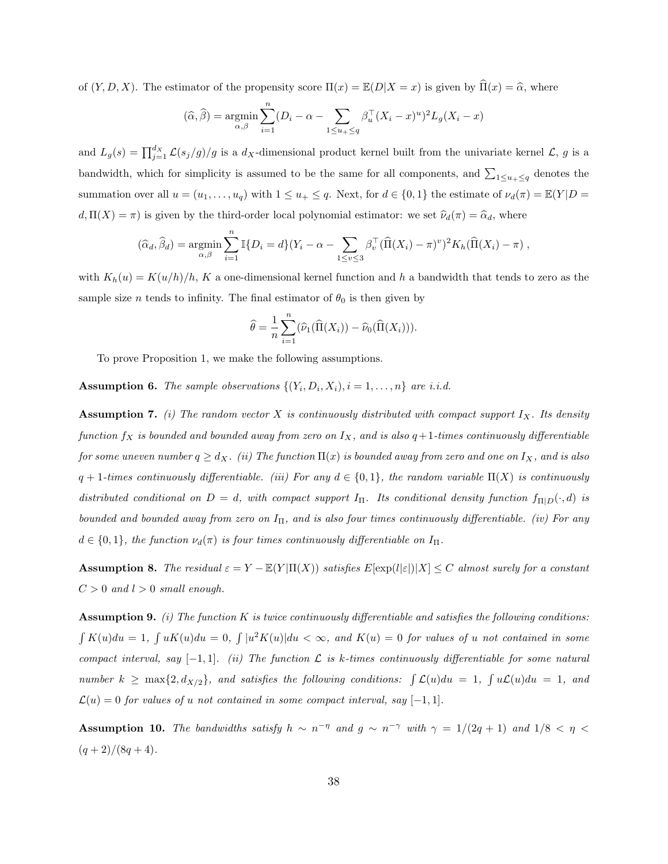of  $(Y, D, X)$ . The estimator of the propensity score  $\Pi(x) = \mathbb{E}(D|X=x)$  is given by  $\hat{\Pi}(x) = \hat{\alpha}$ , where

$$
(\widehat{\alpha}, \widehat{\beta}) = \underset{\alpha, \beta}{\text{argmin}} \sum_{i=1}^{n} (D_i - \alpha - \sum_{1 \le u_+ \le q} \beta_u^{\top} (X_i - x)^u)^2 L_g(X_i - x)
$$

and  $L_g(s) = \prod_{j=1}^{d_X} \mathcal{L}(s_j/g)/g$  is a  $d_X$ -dimensional product kernel built from the univariate kernel  $\mathcal{L}, g$  is a bandwidth, which for simplicity is assumed to be the same for all components, and  $\sum_{1 \le u_+ \le q}$  denotes the summation over all  $u = (u_1, \ldots, u_q)$  with  $1 \le u_+ \le q$ . Next, for  $d \in \{0, 1\}$  the estimate of  $\nu_d(\pi) = \mathbb{E}(Y|D =$  $d, \Pi(X) = \pi$ ) is given by the third-order local polynomial estimator: we set  $\hat{\nu}_d(\pi) = \hat{\alpha}_d$ , where

$$
(\widehat{\alpha}_d, \widehat{\beta}_d) = \underset{\alpha, \beta}{\text{argmin}} \sum_{i=1}^n \mathbb{I}\{D_i = d\} (Y_i - \alpha - \sum_{1 \le v \le 3} \beta_v^{\top} (\widehat{\Pi}(X_i) - \pi)^v)^2 K_h (\widehat{\Pi}(X_i) - \pi) ,
$$

with  $K_h(u) = K(u/h)/h$ , K a one-dimensional kernel function and h a bandwidth that tends to zero as the sample size *n* tends to infinity. The final estimator of  $\theta_0$  is then given by

$$
\widehat{\theta} = \frac{1}{n} \sum_{i=1}^{n} (\widehat{\nu}_1(\widehat{\Pi}(X_i)) - \widehat{\nu}_0(\widehat{\Pi}(X_i))).
$$

To prove Proposition 1, we make the following assumptions.

**Assumption 6.** The sample observations  $\{(Y_i, D_i, X_i), i = 1, \ldots, n\}$  are i.i.d.

**Assumption 7.** (i) The random vector X is continuously distributed with compact support  $I_X$ . Its density function  $f_X$  is bounded and bounded away from zero on  $I_X$ , and is also  $q+1$ -times continuously differentiable for some uneven number  $q \geq d_X$ . (ii) The function  $\Pi(x)$  is bounded away from zero and one on  $I_X$ , and is also  $q + 1$ -times continuously differentiable. (iii) For any  $d \in \{0,1\}$ , the random variable  $\Pi(X)$  is continuously distributed conditional on  $D = d$ , with compact support  $I_{\Pi}$ . Its conditional density function  $f_{\Pi|D}(\cdot, d)$  is bounded and bounded away from zero on  $I_{\Pi}$ , and is also four times continuously differentiable. (iv) For any  $d \in \{0,1\}$ , the function  $\nu_d(\pi)$  is four times continuously differentiable on  $I_{\Pi}$ .

**Assumption 8.** The residual  $\varepsilon = Y - \mathbb{E}(Y|\Pi(X))$  satisfies  $E[\exp(l|\varepsilon|)|X] \leq C$  almost surely for a constant  $C > 0$  and  $l > 0$  small enough.

**Assumption 9.** (i) The function K is twice continuously differentiable and satisfies the following conditions:  $\int K(u)du = 1, \int uK(u)du = 0, \int |u^2K(u)|du < \infty$ , and  $K(u) = 0$  for values of u not contained in some compact interval, say  $[-1, 1]$ . (ii) The function  $\mathcal L$  is k-times continuously differentiable for some natural number  $k \ge \max\{2, d_{X/2}\}\$ , and satisfies the following conditions:  $\int \mathcal{L}(u)du = 1$ ,  $\int u\mathcal{L}(u)du = 1$ , and  $\mathcal{L}(u) = 0$  for values of u not contained in some compact interval, say [-1, 1].

Assumption 10. The bandwidths satisfy  $h \sim n^{-\eta}$  and  $g \sim n^{-\gamma}$  with  $\gamma = 1/(2q+1)$  and  $1/8 < \eta <$  $(q+2)/(8q+4).$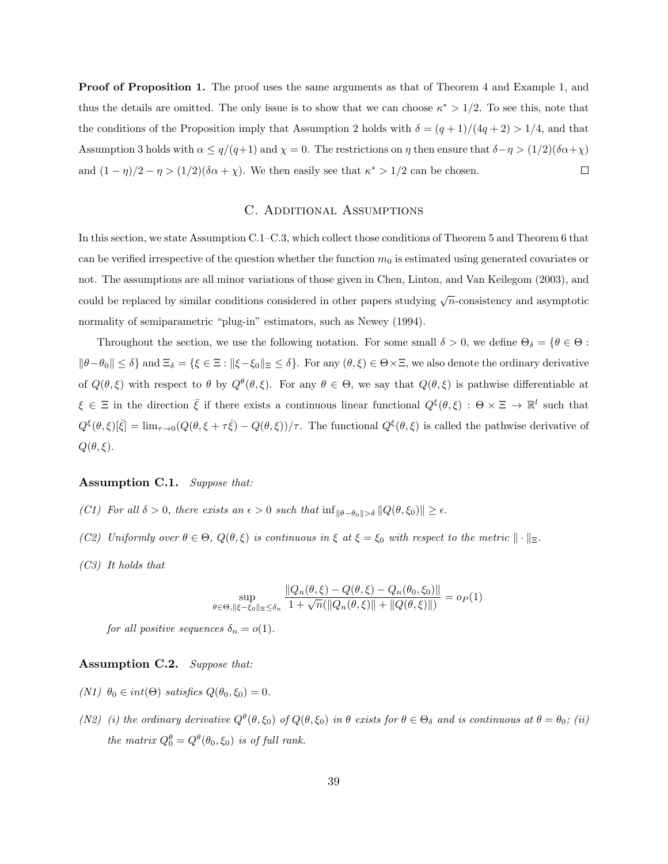**Proof of Proposition 1.** The proof uses the same arguments as that of Theorem 4 and Example 1, and thus the details are omitted. The only issue is to show that we can choose  $\kappa^* > 1/2$ . To see this, note that the conditions of the Proposition imply that Assumption 2 holds with  $\delta = (q+1)/(4q+2) > 1/4$ , and that Assumption 3 holds with  $\alpha \le q/(q+1)$  and  $\chi = 0$ . The restrictions on  $\eta$  then ensure that  $\delta - \eta > (1/2)(\delta \alpha + \chi)$ and  $(1 - \eta)/2 - \eta > (1/2)(\delta \alpha + \chi)$ . We then easily see that  $\kappa^* > 1/2$  can be chosen.  $\Box$ 

# C. ADDITIONAL ASSUMPTIONS

In this section, we state Assumption C.1–C.3, which collect those conditions of Theorem 5 and Theorem 6 that can be verified irrespective of the question whether the function  $m_0$  is estimated using generated covariates or not. The assumptions are all minor variations of those given in Chen, Linton, and Van Keilegom (2003), and could be replaced by similar conditions considered in other papers studying  $\sqrt{n}$ -consistency and asymptotic normality of semiparametric "plug-in" estimators, such as Newey (1994).

Throughout the section, we use the following notation. For some small  $\delta > 0$ , we define  $\Theta_{\delta} = {\theta \in \Theta : \mathbb{R}^d$  $\|\theta-\theta_0\| \leq \delta$  and  $\Xi_{\delta} = {\{\xi \in \Xi : ||\xi-\xi_0||_{\Xi} \leq \delta\}}$ . For any  $(\theta,\xi) \in \Theta \times \Xi$ , we also denote the ordinary derivative of  $Q(\theta, \xi)$  with respect to  $\theta$  by  $Q^{\theta}(\theta, \xi)$ . For any  $\theta \in \Theta$ , we say that  $Q(\theta, \xi)$  is pathwise differentiable at  $\xi \in \Xi$  in the direction  $\bar{\xi}$  if there exists a continuous linear functional  $Q^{\xi}(\theta,\xi) : \Theta \times \Xi \to \mathbb{R}^l$  such that  $Q^{\xi}(\theta,\xi)[\bar{\xi}] = \lim_{\tau \to 0} (Q(\theta,\xi + \tau \bar{\xi}) - Q(\theta,\xi))/\tau$ . The functional  $Q^{\xi}(\theta,\xi)$  is called the pathwise derivative of  $Q(\theta, \xi)$ .

### Assumption C.1. Suppose that:

- (C1) For all  $\delta > 0$ , there exists an  $\epsilon > 0$  such that  $\inf_{\|\theta-\theta_0\|>\delta} \|Q(\theta,\xi_0)\| \geq \epsilon$ .
- (C2) Uniformly over  $\theta \in \Theta$ ,  $Q(\theta, \xi)$  is continuous in  $\xi$  at  $\xi = \xi_0$  with respect to the metric  $\|\cdot\|_{\Xi}$ .
- (C3) It holds that

$$
\sup_{\theta \in \Theta, \|\xi - \xi_0\|_{\mathbb{E}} \le \delta_n} \frac{\|Q_n(\theta, \xi) - Q(\theta, \xi) - Q_n(\theta_0, \xi_0)\|}{1 + \sqrt{n}(\|Q_n(\theta, \xi)\| + \|Q(\theta, \xi)\|)} = o_P(1)
$$

for all positive sequences  $\delta_n = o(1)$ .

#### Assumption C.2. Suppose that:

- (N1)  $\theta_0 \in int(\Theta)$  satisfies  $Q(\theta_0, \xi_0) = 0$ .
- (N2) (i) the ordinary derivative  $Q^{\theta}(\theta, \xi_0)$  of  $Q(\theta, \xi_0)$  in  $\theta$  exists for  $\theta \in \Theta_{\delta}$  and is continuous at  $\theta = \theta_0$ ; (ii) the matrix  $Q_0^{\theta} = Q^{\theta}(\theta_0, \xi_0)$  is of full rank.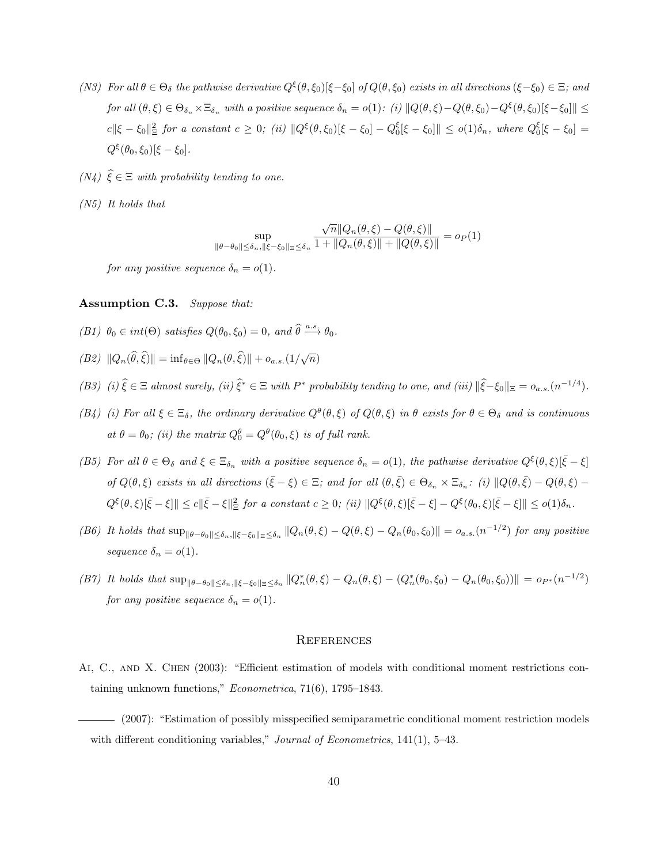- (N3) For all  $\theta \in \Theta_{\delta}$  the pathwise derivative  $Q^{\xi}(\theta, \xi_0)[\xi \xi_0]$  of  $Q(\theta, \xi_0)$  exists in all directions  $(\xi \xi_0) \in \Xi$ ; and  $for \ all \ (\theta, \xi) \in \Theta_{\delta_n} \times \Xi_{\delta_n} \ with \ a \ positive \ sequence \ \delta_n = o(1): \ (i) \ \|Q(\theta, \xi) - Q(\theta, \xi_0) - Q^{\xi}(\theta, \xi_0)[\xi - \xi_0]\| \leq$  $c \|\xi - \xi_0\|_{\Xi}^2$  for a constant  $c \geq 0$ ; (ii)  $\|Q^{\xi}(\theta, \xi_0)[\xi - \xi_0] - Q_0^{\xi}[\xi - \xi_0]\| \leq o(1)\delta_n$ , where  $Q_0^{\xi}[\xi - \xi_0] =$  $Q^{\xi}(\theta_0, \xi_0)[\xi - \xi_0].$
- $(N_4) \widehat{\xi} \in \Xi$  with probability tending to one.
- (N5) It holds that

$$
\sup_{\|\theta-\theta_0\| \le \delta_n, \|\xi-\xi_0\| \le \le \delta_n} \frac{\sqrt{n} \|Q_n(\theta,\xi) - Q(\theta,\xi)\|}{1 + \|Q_n(\theta,\xi)\| + \|Q(\theta,\xi)\|} = o_P(1)
$$

for any positive sequence  $\delta_n = o(1)$ .

### Assumption C.3. Suppose that:

- (B1)  $\theta_0 \in int(\Theta)$  satisfies  $Q(\theta_0, \xi_0) = 0$ , and  $\widehat{\theta} \stackrel{a.s.}{\longrightarrow} \theta_0$ .
- (B2)  $||Q_n(\widehat{\theta}, \widehat{\xi})|| = \inf_{\theta \in \Theta} ||Q_n(\theta, \widehat{\xi})|| + o_{a.s.}(1/\sqrt{n})$
- (B3) (i)  $\hat{\xi} \in \Xi$  almost surely, (ii)  $\hat{\xi}^* \in \Xi$  with P\* probability tending to one, and (iii)  $\|\hat{\xi} \xi_0\|_{\Xi} = o_{a.s.}(n^{-1/4})$ .
- (B4) (i) For all  $\xi \in \Xi_{\delta}$ , the ordinary derivative  $Q^{\theta}(\theta,\xi)$  of  $Q(\theta,\xi)$  in  $\theta$  exists for  $\theta \in \Theta_{\delta}$  and is continuous at  $\theta = \theta_0$ ; (ii) the matrix  $Q_0^{\theta} = Q^{\theta}(\theta_0, \xi)$  is of full rank.
- (B5) For all  $\theta \in \Theta_{\delta}$  and  $\xi \in \Xi_{\delta_n}$  with a positive sequence  $\delta_n = o(1)$ , the pathwise derivative  $Q^{\xi}(\theta, \xi)[\bar{\xi} \xi]$ of  $Q(\theta, \xi)$  exists in all directions  $(\bar{\xi} - \xi) \in \Xi$ ; and for all  $(\theta, \bar{\xi}) \in \Theta_{\delta_n} \times \Xi_{\delta_n}$ : (i)  $||Q(\theta, \bar{\xi}) - Q(\theta, \xi) Q^{\xi}(\theta,\xi)[\bar{\xi}-\xi]] \leq c\|\bar{\xi}-\xi\|_{\Xi}^2$  for a constant  $c \geq 0$ ; (ii)  $\|Q^{\xi}(\theta,\xi)[\bar{\xi}-\xi]-Q^{\xi}(\theta_0,\xi)[\bar{\xi}-\xi]] \leq o(1)\delta_n$ .
- (B6) It holds that  $\sup_{\|\theta-\theta_0\|\leq \delta_n, \|\xi-\xi_0\|_2\leq \delta_n} \|Q_n(\theta,\xi)-Q(\theta,\xi)-Q_n(\theta_0,\xi_0)\| = o_{a.s.}(n^{-1/2})$  for any positive sequence  $\delta_n = o(1)$ .
- (B7) It holds that  $\sup_{\|\theta-\theta_0\|\leq \delta_n, \|\xi-\xi_0\|_2\leq \delta_n} \|Q_n^*(\theta,\xi)-Q_n(\theta,\xi)-(Q_n^*(\theta_0,\xi_0)-Q_n(\theta_0,\xi_0))\| = o_{P^*}(n^{-1/2})$ for any positive sequence  $\delta_n = o(1)$ .

#### **REFERENCES**

- Ai, C., and X. Chen (2003): "Efficient estimation of models with conditional moment restrictions containing unknown functions," Econometrica, 71(6), 1795–1843.
- (2007): "Estimation of possibly misspecified semiparametric conditional moment restriction models with different conditioning variables," *Journal of Econometrics*, 141(1), 5–43.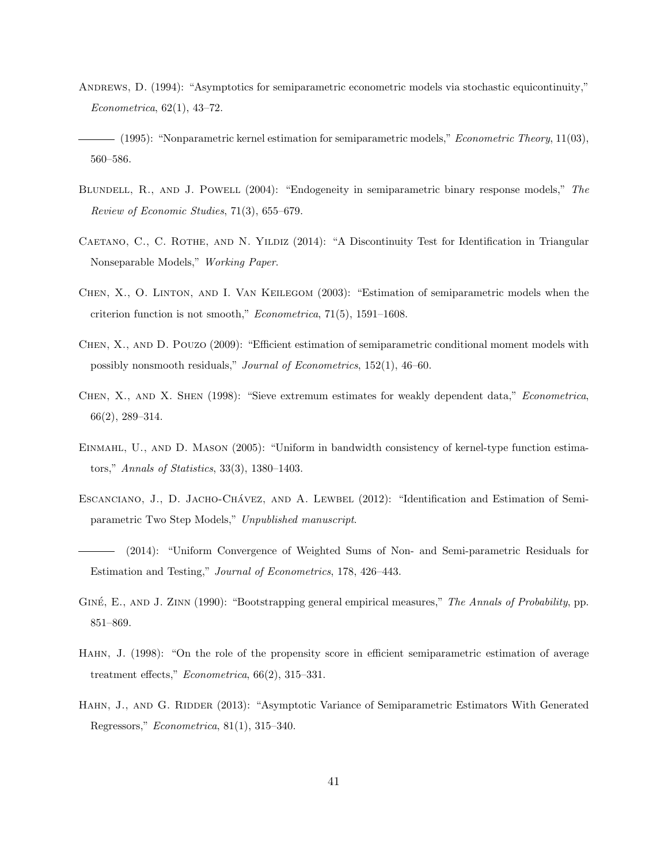- ANDREWS, D. (1994): "Asymptotics for semiparametric econometric models via stochastic equicontinuity," Econometrica, 62(1), 43–72.
- (1995): "Nonparametric kernel estimation for semiparametric models," *Econometric Theory*, 11(03), 560–586.
- BLUNDELL, R., AND J. POWELL (2004): "Endogeneity in semiparametric binary response models," The Review of Economic Studies, 71(3), 655–679.
- CAETANO, C., C. ROTHE, AND N. YILDIZ (2014): "A Discontinuity Test for Identification in Triangular Nonseparable Models," Working Paper.
- Chen, X., O. Linton, and I. Van Keilegom (2003): "Estimation of semiparametric models when the criterion function is not smooth," Econometrica, 71(5), 1591–1608.
- Chen, X., and D. Pouzo (2009): "Efficient estimation of semiparametric conditional moment models with possibly nonsmooth residuals," Journal of Econometrics, 152(1), 46–60.
- Chen, X., and X. Shen (1998): "Sieve extremum estimates for weakly dependent data," Econometrica, 66(2), 289–314.
- Einmahl, U., and D. Mason (2005): "Uniform in bandwidth consistency of kernel-type function estimators," Annals of Statistics, 33(3), 1380–1403.
- ESCANCIANO, J., D. JACHO-CHÁVEZ, AND A. LEWBEL (2012): "Identification and Estimation of Semiparametric Two Step Models," Unpublished manuscript.
- (2014): "Uniform Convergence of Weighted Sums of Non- and Semi-parametric Residuals for Estimation and Testing," Journal of Econometrics, 178, 426–443.
- GINÉ, E., AND J. ZINN (1990): "Bootstrapping general empirical measures," The Annals of Probability, pp. 851–869.
- Hahn, J. (1998): "On the role of the propensity score in efficient semiparametric estimation of average treatment effects," Econometrica, 66(2), 315–331.
- HAHN, J., AND G. RIDDER (2013): "Asymptotic Variance of Semiparametric Estimators With Generated Regressors," Econometrica, 81(1), 315–340.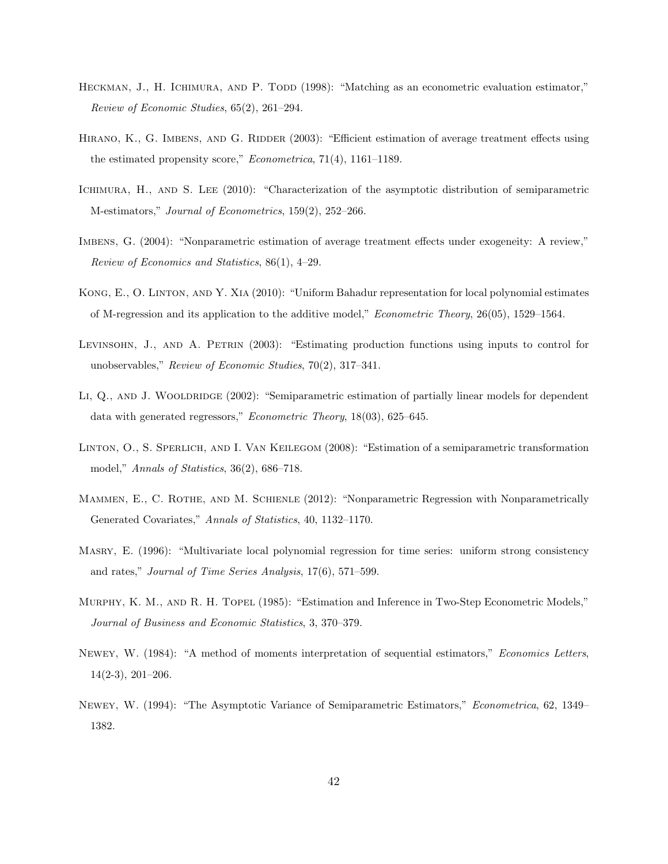- HECKMAN, J., H. ICHIMURA, AND P. TODD (1998): "Matching as an econometric evaluation estimator," Review of Economic Studies, 65(2), 261–294.
- HIRANO, K., G. IMBENS, AND G. RIDDER (2003): "Efficient estimation of average treatment effects using the estimated propensity score," Econometrica, 71(4), 1161–1189.
- ICHIMURA, H., AND S. LEE (2010): "Characterization of the asymptotic distribution of semiparametric M-estimators," Journal of Econometrics, 159(2), 252–266.
- Imbens, G. (2004): "Nonparametric estimation of average treatment effects under exogeneity: A review," Review of Economics and Statistics, 86(1), 4–29.
- Kong, E., O. Linton, and Y. Xia (2010): "Uniform Bahadur representation for local polynomial estimates of M-regression and its application to the additive model," Econometric Theory, 26(05), 1529–1564.
- Levinsohn, J., and A. Petrin (2003): "Estimating production functions using inputs to control for unobservables," Review of Economic Studies, 70(2), 317–341.
- LI, Q., AND J. WOOLDRIDGE (2002): "Semiparametric estimation of partially linear models for dependent data with generated regressors," Econometric Theory, 18(03), 625–645.
- Linton, O., S. Sperlich, and I. Van Keilegom (2008): "Estimation of a semiparametric transformation model," Annals of Statistics, 36(2), 686–718.
- MAMMEN, E., C. ROTHE, AND M. SCHIENLE (2012): "Nonparametric Regression with Nonparametrically Generated Covariates," Annals of Statistics, 40, 1132–1170.
- Masry, E. (1996): "Multivariate local polynomial regression for time series: uniform strong consistency and rates," Journal of Time Series Analysis, 17(6), 571–599.
- Murphy, K. M., and R. H. Topel (1985): "Estimation and Inference in Two-Step Econometric Models," Journal of Business and Economic Statistics, 3, 370–379.
- Newey, W. (1984): "A method of moments interpretation of sequential estimators," Economics Letters, 14(2-3), 201–206.
- Newey, W. (1994): "The Asymptotic Variance of Semiparametric Estimators," Econometrica, 62, 1349– 1382.